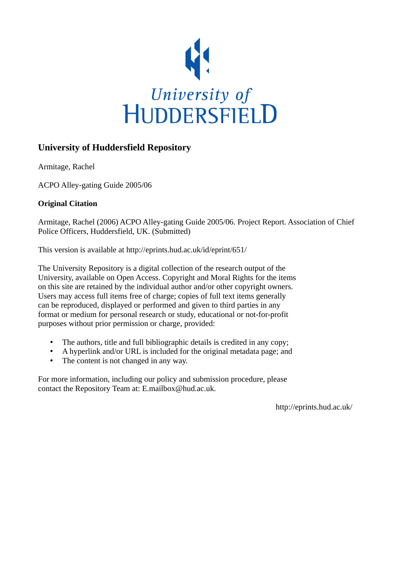

# **University of Huddersfield Repository**

Armitage, Rachel

ACPO Alley-gating Guide 2005/06

# **Original Citation**

Armitage, Rachel (2006) ACPO Alley-gating Guide 2005/06. Project Report. Association of Chief Police Officers, Huddersfield, UK. (Submitted)

This version is available at http://eprints.hud.ac.uk/id/eprint/651/

The University Repository is a digital collection of the research output of the University, available on Open Access. Copyright and Moral Rights for the items on this site are retained by the individual author and/or other copyright owners. Users may access full items free of charge; copies of full text items generally can be reproduced, displayed or performed and given to third parties in any format or medium for personal research or study, educational or not-for-profit purposes without prior permission or charge, provided:

- The authors, title and full bibliographic details is credited in any copy;
- A hyperlink and/or URL is included for the original metadata page; and
- The content is not changed in any way.

For more information, including our policy and submission procedure, please contact the Repository Team at: E.mailbox@hud.ac.uk.

http://eprints.hud.ac.uk/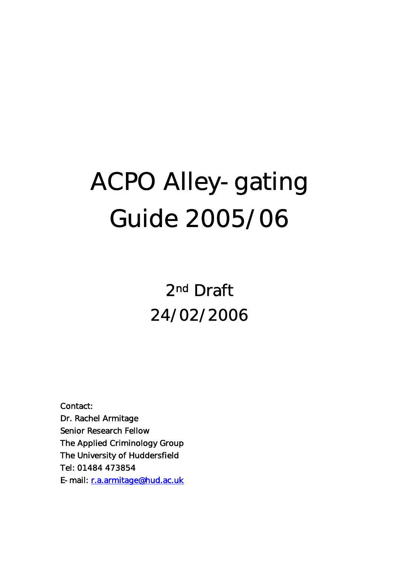# ACPO Alley-gating Guide 2005/06

2nd Draft 24/02/2006

Contact: Dr. Rachel Armitage Senior Research Fellow The Applied Criminology Group The University of Huddersfield Tel: 01484 473854 E-mail: r.a.armitage@hud.ac.uk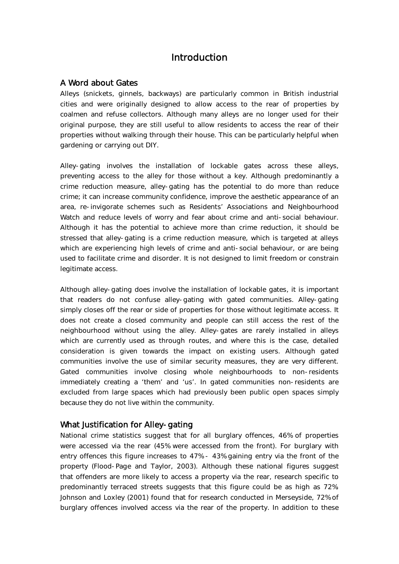# Introduction

# A Word about Gates

Alleys (snickets, ginnels, backways) are particularly common in British industrial cities and were originally designed to allow access to the rear of properties by coalmen and refuse collectors. Although many alleys are no longer used for their original purpose, they are still useful to allow residents to access the rear of their properties without walking through their house. This can be particularly helpful when gardening or carrying out DIY.

Alley-gating involves the installation of lockable gates across these alleys, preventing access to the alley for those without a key. Although predominantly a crime reduction measure, alley-gating has the potential to do more than reduce crime; it can increase community confidence, improve the aesthetic appearance of an area, re-invigorate schemes such as Residents' Associations and Neighbourhood Watch and reduce levels of worry and fear about crime and anti-social behaviour. Although it has the potential to achieve more than crime reduction, it should be stressed that alley-gating is a crime reduction measure, which is targeted at alleys which are experiencing high levels of crime and anti-social behaviour, or are being used to facilitate crime and disorder. It is not designed to limit freedom or constrain legitimate access.

Although alley-gating does involve the installation of lockable gates, it is important that readers do not confuse alley-gating with gated communities. Alley-gating simply closes off the rear or side of properties for those without legitimate access. It does not create a closed community and people can still access the rest of the neighbourhood without using the alley. Alley-gates are rarely installed in alleys which are currently used as through routes, and where this is the case, detailed consideration is given towards the impact on existing users. Although gated communities involve the use of similar security measures, they are very different. Gated communities involve closing whole neighbourhoods to non-residents immediately creating a 'them' and 'us'. In gated communities non-residents are excluded from large spaces which had previously been public open spaces simply because they do not live within the community.

## What Justification for Alley-gating

National crime statistics suggest that for all burglary offences, 46% of properties were accessed via the rear (45% were accessed from the front). For burglary with entry offences this figure increases to 47% - 43% gaining entry via the front of the property (Flood-Page and Taylor, 2003). Although these national figures suggest that offenders are more likely to access a property via the rear, research specific to predominantly terraced streets suggests that this figure could be as high as 72%. Johnson and Loxley (2001) found that for research conducted in Merseyside, 72% of burglary offences involved access via the rear of the property. In addition to these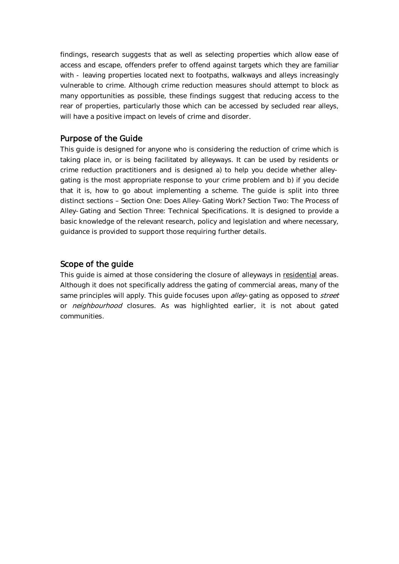findings, research suggests that as well as selecting properties which allow ease of access and escape, offenders prefer to offend against targets which they are familiar with - leaving properties located next to footpaths, walkways and alleys increasingly vulnerable to crime. Although crime reduction measures should attempt to block as many opportunities as possible, these findings suggest that reducing access to the rear of properties, particularly those which can be accessed by secluded rear alleys, will have a positive impact on levels of crime and disorder.

# Purpose of the Guide

This guide is designed for anyone who is considering the reduction of crime which is taking place in, or is being facilitated by alleyways. It can be used by residents or crime reduction practitioners and is designed a) to help you decide whether alleygating is the most appropriate response to your crime problem and b) if you decide that it is, how to go about implementing a scheme. The guide is split into three distinct sections – Section One: Does Alley-Gating Work? Section Two: The Process of Alley-Gating and Section Three: Technical Specifications. It is designed to provide a basic knowledge of the relevant research, policy and legislation and where necessary, guidance is provided to support those requiring further details.

# Scope of the guide

This guide is aimed at those considering the closure of alleyways in residential areas. Although it does not specifically address the gating of commercial areas, many of the same principles will apply. This guide focuses upon *alley*-gating as opposed to *street* or *neighbourhood* closures. As was highlighted earlier, it is not about gated communities.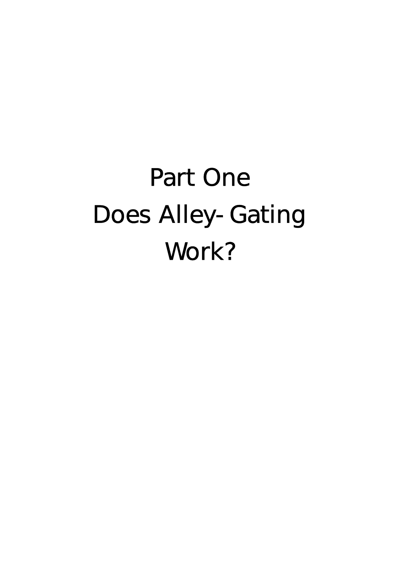# Part One Does Alley-Gating Work?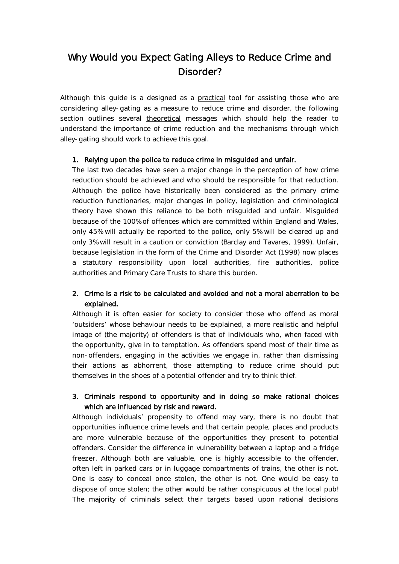# Why Would you Expect Gating Alleys to Reduce Crime and Disorder?

Although this guide is a designed as a practical tool for assisting those who are considering alley-gating as a measure to reduce crime and disorder, the following section outlines several theoretical messages which should help the reader to understand the importance of crime reduction and the mechanisms through which alley-gating should work to achieve this goal.

#### 1. Relying upon the police to reduce crime in misguided and unfair.

The last two decades have seen a major change in the perception of how crime reduction should be achieved and who should be responsible for that reduction. Although the police have historically been considered as the primary crime reduction functionaries, major changes in policy, legislation and criminological theory have shown this reliance to be both misguided and unfair. Misguided because of the 100% of offences which are committed within England and Wales, only 45% will actually be reported to the police, only 5% will be cleared up and only 3% will result in a caution or conviction (Barclay and Tavares, 1999). Unfair, because legislation in the form of the Crime and Disorder Act (1998) now places a statutory responsibility upon local authorities, fire authorities, police authorities and Primary Care Trusts to share this burden.

## 2. Crime is a risk to be calculated and avoided and not a moral aberration to be explained.

Although it is often easier for society to consider those who offend as moral 'outsiders' whose behaviour needs to be explained, a more realistic and helpful image of (the majority) of offenders is that of individuals who, when faced with the opportunity, give in to temptation. As offenders spend most of their time as non-offenders, engaging in the activities we engage in, rather than dismissing their actions as abhorrent, those attempting to reduce crime should put themselves in the shoes of a potential offender and try to think thief.

## 3. Criminals respond to opportunity and in doing so make rational choices which are influenced by risk and reward.

Although individuals' propensity to offend may vary, there is no doubt that opportunities influence crime levels and that certain people, places and products are more vulnerable because of the opportunities they present to potential offenders. Consider the difference in vulnerability between a laptop and a fridge freezer. Although both are valuable, one is highly accessible to the offender, often left in parked cars or in luggage compartments of trains, the other is not. One is easy to conceal once stolen, the other is not. One would be easy to dispose of once stolen; the other would be rather conspicuous at the local pub! The majority of criminals select their targets based upon rational decisions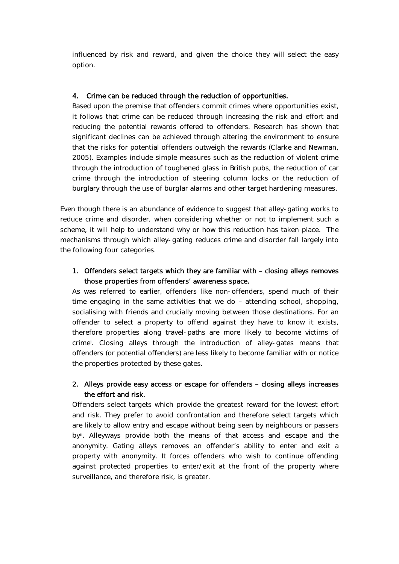influenced by risk and reward, and given the choice they will select the easy option.

### 4. Crime can be reduced through the reduction of opportunities.

Based upon the premise that offenders commit crimes where opportunities exist, it follows that crime can be reduced through increasing the risk and effort and reducing the potential rewards offered to offenders. Research has shown that significant declines can be achieved through altering the environment to ensure that the risks for potential offenders outweigh the rewards (Clarke and Newman, 2005). Examples include simple measures such as the reduction of violent crime through the introduction of toughened glass in British pubs, the reduction of car crime through the introduction of steering column locks or the reduction of burglary through the use of burglar alarms and other target hardening measures.

Even though there is an abundance of evidence to suggest that alley-gating works to reduce crime and disorder, when considering whether or not to implement such a scheme, it will help to understand why or how this reduction has taken place. The mechanisms through which alley-gating reduces crime and disorder fall largely into the following four categories.

## 1. Offenders select targets which they are familiar with – closing alleys removes those properties from offenders' awareness space.

As was referred to earlier, offenders like non-offenders, spend much of their time engaging in the same activities that we do – attending school, shopping, socialising with friends and crucially moving between those destinations. For an offender to select a property to offend against they have to know it exists, therefore properties along travel-paths are more likely to become victims of crimei . Closing alleys through the introduction of alley-gates means that offenders (or potential offenders) are less likely to become familiar with or notice the properties protected by these gates.

## 2. Alleys provide easy access or escape for offenders – closing alleys increases the effort and risk.

Offenders select targets which provide the greatest reward for the lowest effort and risk. They prefer to avoid confrontation and therefore select targets which are likely to allow entry and escape without being seen by neighbours or passers byii. Alleyways provide both the means of that access and escape and the anonymity. Gating alleys removes an offender's ability to enter and exit a property with anonymity. It forces offenders who wish to continue offending against protected properties to enter/exit at the front of the property where surveillance, and therefore risk, is greater.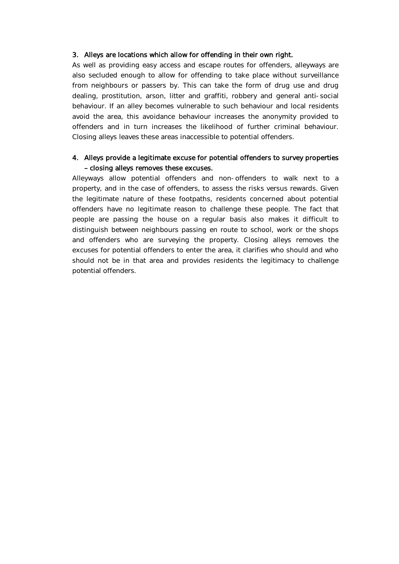#### 3. Alleys are locations which allow for offending in their own right.

As well as providing easy access and escape routes for offenders, alleyways are also secluded enough to allow for offending to take place without surveillance from neighbours or passers by. This can take the form of drug use and drug dealing, prostitution, arson, litter and graffiti, robbery and general anti-social behaviour. If an alley becomes vulnerable to such behaviour and local residents avoid the area, this avoidance behaviour increases the anonymity provided to offenders and in turn increases the likelihood of further criminal behaviour. Closing alleys leaves these areas inaccessible to potential offenders.

### 4. Alleys provide a legitimate excuse for potential offenders to survey properties – closing alleys removes these excuses.

Alleyways allow potential offenders and non-offenders to walk next to a property, and in the case of offenders, to assess the risks versus rewards. Given the legitimate nature of these footpaths, residents concerned about potential offenders have no legitimate reason to challenge these people. The fact that people are passing the house on a regular basis also makes it difficult to distinguish between neighbours passing en route to school, work or the shops and offenders who are surveying the property. Closing alleys removes the excuses for potential offenders to enter the area, it clarifies who should and who should not be in that area and provides residents the legitimacy to challenge potential offenders.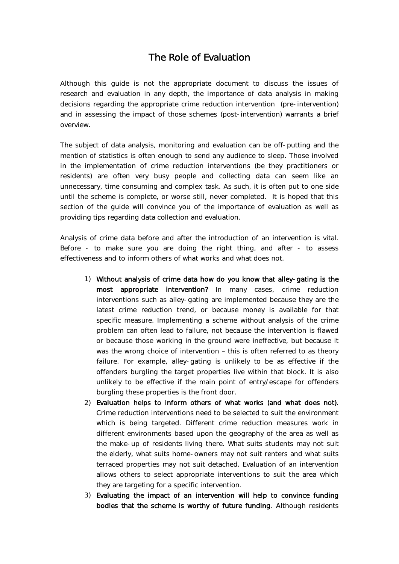# The Role of Evaluation

Although this guide is not the appropriate document to discuss the issues of research and evaluation in any depth, the importance of data analysis in making decisions regarding the appropriate crime reduction intervention (pre-intervention) and in assessing the impact of those schemes (post-intervention) warrants a brief overview.

The subject of data analysis, monitoring and evaluation can be off-putting and the mention of statistics is often enough to send any audience to sleep. Those involved in the implementation of crime reduction interventions (be they practitioners or residents) are often very busy people and collecting data can seem like an unnecessary, time consuming and complex task. As such, it is often put to one side until the scheme is complete, or worse still, never completed. It is hoped that this section of the guide will convince you of the importance of evaluation as well as providing tips regarding data collection and evaluation.

Analysis of crime data before and after the introduction of an intervention is vital. Before - to make sure you are doing the right thing, and after - to assess effectiveness and to inform others of what works and what does not.

- 1) Without analysis of crime data how do you know that alley-gating is the most appropriate intervention? In many cases, crime reduction interventions such as alley-gating are implemented because they are the latest crime reduction trend, or because money is available for that specific measure. Implementing a scheme without analysis of the crime problem can often lead to failure, not because the intervention is flawed or because those working in the ground were ineffective, but because it was the wrong choice of intervention – this is often referred to as theory failure. For example, alley-gating is unlikely to be as effective if the offenders burgling the target properties live within that block. It is also unlikely to be effective if the main point of entry/escape for offenders burgling these properties is the front door.
- 2) Evaluation helps to inform others of what works (and what does not). Crime reduction interventions need to be selected to suit the environment which is being targeted. Different crime reduction measures work in different environments based upon the geography of the area as well as the make-up of residents living there. What suits students may not suit the elderly, what suits home-owners may not suit renters and what suits terraced properties may not suit detached. Evaluation of an intervention allows others to select appropriate interventions to suit the area which they are targeting for a specific intervention.
- 3) Evaluating the impact of an intervention will help to convince funding bodies that the scheme is worthy of future funding. Although residents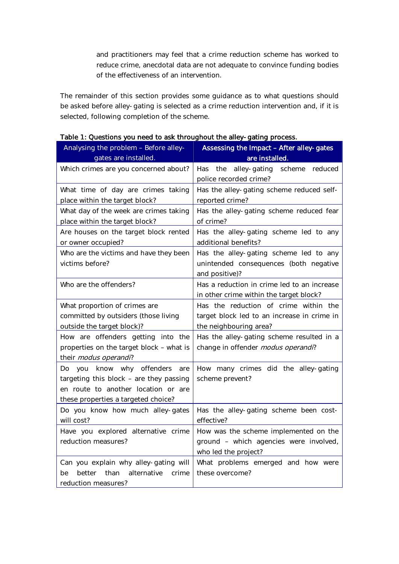and practitioners may feel that a crime reduction scheme has worked to reduce crime, anecdotal data are not adequate to convince funding bodies of the effectiveness of an intervention.

The remainder of this section provides some guidance as to what questions should be asked before alley-gating is selected as a crime reduction intervention and, if it is selected, following completion of the scheme.

| Analysing the problem - Before alley-<br>gates are installed.                                                                                                    | Assessing the Impact - After alley-gates<br>are installed.                                                     |
|------------------------------------------------------------------------------------------------------------------------------------------------------------------|----------------------------------------------------------------------------------------------------------------|
| Which crimes are you concerned about?                                                                                                                            | alley-gating scheme<br>reduced<br>Has<br>the<br>police recorded crime?                                         |
| What time of day are crimes taking<br>place within the target block?                                                                                             | Has the alley-gating scheme reduced self-<br>reported crime?                                                   |
| What day of the week are crimes taking<br>place within the target block?                                                                                         | Has the alley-gating scheme reduced fear<br>of crime?                                                          |
| Are houses on the target block rented<br>or owner occupied?                                                                                                      | Has the alley-gating scheme led to any<br>additional benefits?                                                 |
| Who are the victims and have they been<br>victims before?                                                                                                        | Has the alley-gating scheme led to any<br>unintended consequences (both negative<br>and positive)?             |
| Who are the offenders?                                                                                                                                           | Has a reduction in crime led to an increase<br>in other crime within the target block?                         |
| What proportion of crimes are<br>committed by outsiders (those living<br>outside the target block)?                                                              | Has the reduction of crime within the<br>target block led to an increase in crime in<br>the neighbouring area? |
| How are offenders getting into the<br>properties on the target block - what is<br>their modus operandi?                                                          | Has the alley-gating scheme resulted in a<br>change in offender modus operandi?                                |
| know why offenders<br>you<br>are<br>Do.<br>targeting this block - are they passing<br>en route to another location or are<br>these properties a targeted choice? | How many crimes did the alley-gating<br>scheme prevent?                                                        |
| Do you know how much alley-gates<br>will cost?                                                                                                                   | Has the alley-gating scheme been cost-<br>effective?                                                           |
| Have you explored alternative crime<br>reduction measures?                                                                                                       | How was the scheme implemented on the<br>ground - which agencies were involved,<br>who led the project?        |
| Can you explain why alley-gating will<br>than<br>alternative<br>better<br>crime<br>be<br>reduction measures?                                                     | What problems emerged and how were<br>these overcome?                                                          |

Table 1: Questions you need to ask throughout the alley-gating process.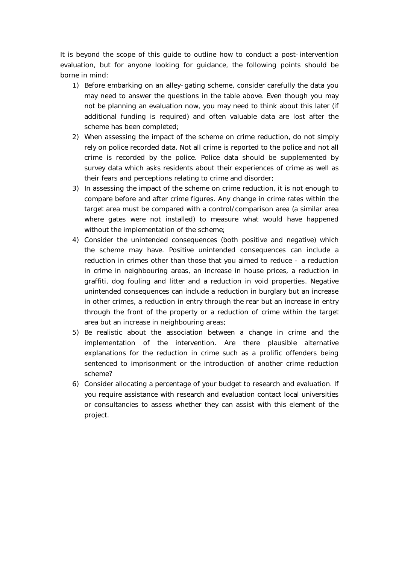It is beyond the scope of this guide to outline how to conduct a post-intervention evaluation, but for anyone looking for guidance, the following points should be borne in mind:

- 1) Before embarking on an alley-gating scheme, consider carefully the data you may need to answer the questions in the table above. Even though you may not be planning an evaluation now, you may need to think about this later (if additional funding is required) and often valuable data are lost after the scheme has been completed;
- 2) When assessing the impact of the scheme on crime reduction, do not simply rely on police recorded data. Not all crime is reported to the police and not all crime is recorded by the police. Police data should be supplemented by survey data which asks residents about their experiences of crime as well as their fears and perceptions relating to crime and disorder;
- 3) In assessing the impact of the scheme on crime reduction, it is not enough to compare before and after crime figures. Any change in crime rates within the target area must be compared with a control/comparison area (a similar area where gates were not installed) to measure what would have happened without the implementation of the scheme;
- 4) Consider the unintended consequences (both positive and negative) which the scheme may have. Positive unintended consequences can include a reduction in crimes other than those that you aimed to reduce - a reduction in crime in neighbouring areas, an increase in house prices, a reduction in graffiti, dog fouling and litter and a reduction in void properties. Negative unintended consequences can include a reduction in burglary but an increase in other crimes, a reduction in entry through the rear but an increase in entry through the front of the property or a reduction of crime within the target area but an increase in neighbouring areas;
- 5) Be realistic about the association between a change in crime and the implementation of the intervention. Are there plausible alternative explanations for the reduction in crime such as a prolific offenders being sentenced to imprisonment or the introduction of another crime reduction scheme?
- 6) Consider allocating a percentage of your budget to research and evaluation. If you require assistance with research and evaluation contact local universities or consultancies to assess whether they can assist with this element of the project.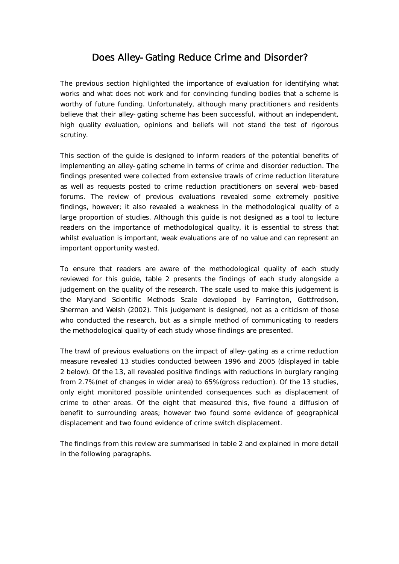# Does Alley-Gating Reduce Crime and Disorder?

The previous section highlighted the importance of evaluation for identifying what works and what does not work and for convincing funding bodies that a scheme is worthy of future funding. Unfortunately, although many practitioners and residents believe that their alley-gating scheme has been successful, without an independent, high quality evaluation, opinions and beliefs will not stand the test of rigorous scrutiny.

This section of the guide is designed to inform readers of the potential benefits of implementing an alley-gating scheme in terms of crime and disorder reduction. The findings presented were collected from extensive trawls of crime reduction literature as well as requests posted to crime reduction practitioners on several web-based forums. The review of previous evaluations revealed some extremely positive findings, however; it also revealed a weakness in the methodological quality of a large proportion of studies. Although this guide is not designed as a tool to lecture readers on the importance of methodological quality, it is essential to stress that whilst evaluation is important, weak evaluations are of no value and can represent an important opportunity wasted.

To ensure that readers are aware of the methodological quality of each study reviewed for this guide, table 2 presents the findings of each study alongside a judgement on the quality of the research. The scale used to make this judgement is the Maryland Scientific Methods Scale developed by Farrington, Gottfredson, Sherman and Welsh (2002). This judgement is designed, not as a criticism of those who conducted the research, but as a simple method of communicating to readers the methodological quality of each study whose findings are presented.

The trawl of previous evaluations on the impact of alley-gating as a crime reduction measure revealed 13 studies conducted between 1996 and 2005 (displayed in table 2 below). Of the 13, all revealed positive findings with reductions in burglary ranging from 2.7% (net of changes in wider area) to 65% (gross reduction). Of the 13 studies, only eight monitored possible unintended consequences such as displacement of crime to other areas. Of the eight that measured this, five found a diffusion of benefit to surrounding areas; however two found some evidence of geographical displacement and two found evidence of crime switch displacement.

The findings from this review are summarised in table 2 and explained in more detail in the following paragraphs.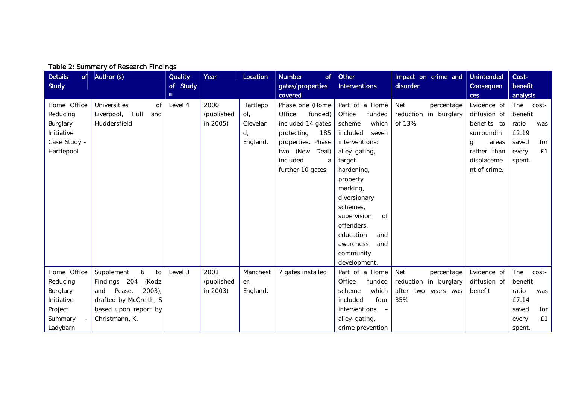| Table 2: Summary of Research Findings |                            |                |            |          |                     |                                           |                          |                   |              |
|---------------------------------------|----------------------------|----------------|------------|----------|---------------------|-------------------------------------------|--------------------------|-------------------|--------------|
| <b>Details</b>                        | of $\vert$ Author (s)      | <b>Quality</b> | Year       | Location | <b>Number</b><br>of | Other                                     | Impact on crime and      | <b>Unintended</b> | Cost-        |
| <b>Study</b>                          |                            | of Study       |            |          | gates/properties    | <b>Interventions</b>                      | disorder                 | Consequen         | benefit      |
|                                       |                            | TH.            |            |          | covered             |                                           |                          | <b>ces</b>        | analysis     |
| Home Office                           | Universities<br><b>of</b>  | Level 4        | 2000       | Hartlepo | Phase one (Home     | Part of a Home                            | <b>Net</b><br>percentage | Evidence of       | The<br>cost- |
| Reducing                              | Liverpool,<br>Hull<br>and  |                | (published | ol,      | Office<br>funded)   | Office<br>funded                          | reduction in burglary    | diffusion of      | benefit      |
| Burglary                              | Huddersfield               |                | in 2005)   | Clevelan | included 14 gates   | which<br>scheme                           | of 13%.                  | benefits to       | ratio<br>was |
| Initiative                            |                            |                |            | d,       | protecting<br>185   | included<br>seven                         |                          | surroundin        | £2.19        |
| Case Study -                          |                            |                |            | England. | properties. Phase   | interventions:                            |                          | areas<br>g        | for<br>saved |
| Hartlepool                            |                            |                |            |          | two (New Deal)      | alley-gating,                             |                          | rather than       | £1<br>every  |
|                                       |                            |                |            |          | included<br>a       | target                                    |                          | displaceme        | spent.       |
|                                       |                            |                |            |          | further 10 gates.   | hardening,                                |                          | nt of crime.      |              |
|                                       |                            |                |            |          |                     | property                                  |                          |                   |              |
|                                       |                            |                |            |          |                     | marking,                                  |                          |                   |              |
|                                       |                            |                |            |          |                     | diversionary                              |                          |                   |              |
|                                       |                            |                |            |          |                     | schemes,                                  |                          |                   |              |
|                                       |                            |                |            |          |                     | supervision<br>0f                         |                          |                   |              |
|                                       |                            |                |            |          |                     | offenders,                                |                          |                   |              |
|                                       |                            |                |            |          |                     | education<br>and                          |                          |                   |              |
|                                       |                            |                |            |          |                     | and<br>awareness                          |                          |                   |              |
|                                       |                            |                |            |          |                     | community                                 |                          |                   |              |
|                                       |                            |                |            |          |                     | development.                              |                          |                   |              |
| Home Office                           | Supplement<br>6<br>to      | Level 3        | 2001       | Manchest | 7 gates installed   | Part of a Home                            | <b>Net</b><br>percentage | Evidence of       | The<br>cost- |
| Reducing                              | Findings 204<br>(Kodz      |                | (published | $er_{1}$ |                     | Office<br>funded                          | reduction in burglary    | diffusion of      | benefit      |
| Burglary                              | $2003$ ),<br>Pease,<br>and |                | in 2003)   | England. |                     | which<br>scheme                           | after two years was      | benefit           | ratio<br>was |
| Initiative                            | drafted by McCreith, S     |                |            |          |                     | included<br>four                          | 35%                      |                   | £7.14        |
| Project                               | based upon report by       |                |            |          |                     | interventions<br>$\overline{\phantom{m}}$ |                          |                   | saved<br>for |
| Summary                               | Christmann, K.             |                |            |          |                     | alley-gating,                             |                          |                   | £1<br>every  |
| Ladybarn                              |                            |                |            |          |                     | crime prevention                          |                          |                   | spent.       |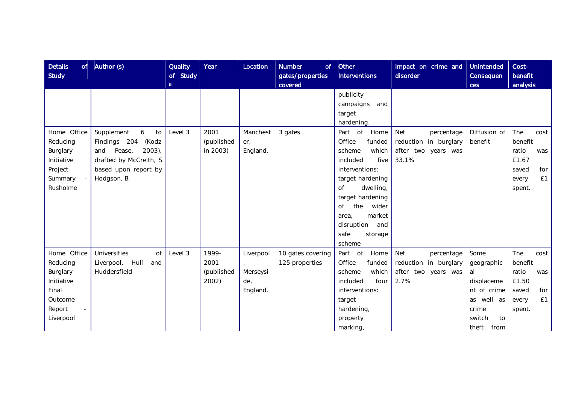| <b>Details</b><br><b>Study</b>                                                                                  | of $\vert$ Author (s)                                                                                                                         | <b>Quality</b><br>of Study<br>TH <sub>1</sub> | Year                                 | Location                                 | <b>Number</b><br>of<br>gates/properties<br>covered | Other<br><b>Interventions</b>                                                                                                                                                                                                                                          | Impact on crime and<br>disorder                                                     | <b>Unintended</b><br>Consequen<br>ces                                                                      | Cost-<br>benefit<br>analysis                                                             |
|-----------------------------------------------------------------------------------------------------------------|-----------------------------------------------------------------------------------------------------------------------------------------------|-----------------------------------------------|--------------------------------------|------------------------------------------|----------------------------------------------------|------------------------------------------------------------------------------------------------------------------------------------------------------------------------------------------------------------------------------------------------------------------------|-------------------------------------------------------------------------------------|------------------------------------------------------------------------------------------------------------|------------------------------------------------------------------------------------------|
|                                                                                                                 |                                                                                                                                               |                                               |                                      |                                          |                                                    | publicity<br>campaigns<br>and<br>target<br>hardening.                                                                                                                                                                                                                  |                                                                                     |                                                                                                            |                                                                                          |
| Home Office<br>Reducing<br>Burglary<br>Initiative<br>Project<br>Summary<br>$\overline{\phantom{a}}$<br>Rusholme | Supplement<br>6<br>to<br>Findings 204<br>(Kodz<br>$2003$ ),<br>Pease,<br>and<br>drafted by McCreith, S<br>based upon report by<br>Hodgson, B. | Level 3                                       | 2001<br>(published<br>in 2003)       | Manchest<br>$er_{1}$<br>England.         | 3 gates                                            | Part of<br>Home<br>Office<br>funded<br>which<br>scheme<br>included<br>five<br>interventions:<br>target hardening<br>dwelling,<br>$\overline{of}$<br>target hardening<br>the<br>wider<br><b>of</b><br>market<br>area,<br>disruption<br>and<br>safe<br>storage<br>scheme | <b>Net</b><br>percentage<br>reduction in burglary<br>after two years was<br>33.1%   | Diffusion of<br>benefit                                                                                    | The<br>cost<br>benefit<br>ratio<br>was<br>£1.67<br>saved<br>for<br>£1<br>every<br>spent. |
| Home Office<br>Reducing<br>Burglary<br>Initiative<br>Final<br>Outcome<br>Report<br>Liverpool                    | Universities<br>of<br>Liverpool,<br>Hull<br>and<br>Huddersfield                                                                               | Level 3                                       | 1999-<br>2001<br>(published<br>2002) | Liverpool<br>Merseysi<br>de.<br>England. | 10 gates covering<br>125 properties                | Part of<br>Home<br>Office<br>funded<br>which<br>scheme<br>included<br>four<br>interventions:<br>target<br>hardening,<br>property<br>marking,                                                                                                                           | <b>Net</b><br>percentage<br>reduction in burglary<br>after<br>two years was<br>2.7% | Some<br>geographic<br>al<br>displaceme<br>nt of crime<br>as well as<br>crime<br>switch<br>to<br>theft from | The<br>cost<br>benefit<br>ratio<br>was<br>£1.50<br>saved<br>for<br>£1<br>every<br>spent. |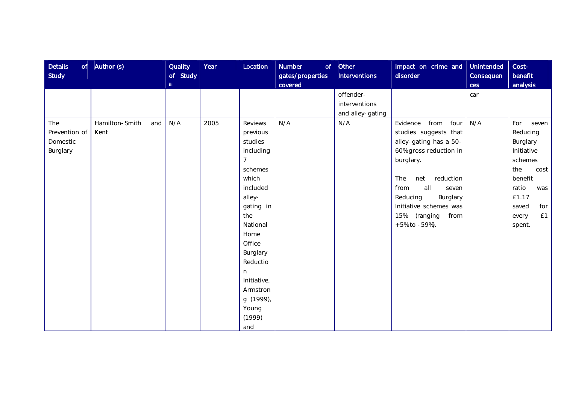| <b>Details</b><br><b>Study</b>               | of $\vert$ Author (s)         | <b>Quality</b><br>of Study<br>TH <sub>1</sub> | Year | Location                                                                                                                                                                                                                                           | <b>Number</b><br>gates/properties<br>covered | $of$ Other<br><b>Interventions</b>             | Impact on crime and<br>disorder                                                                                                                                                                                                                                      | Unintended<br>Consequen<br>ces | Cost-<br>benefit<br>analysis                                                                                                                              |
|----------------------------------------------|-------------------------------|-----------------------------------------------|------|----------------------------------------------------------------------------------------------------------------------------------------------------------------------------------------------------------------------------------------------------|----------------------------------------------|------------------------------------------------|----------------------------------------------------------------------------------------------------------------------------------------------------------------------------------------------------------------------------------------------------------------------|--------------------------------|-----------------------------------------------------------------------------------------------------------------------------------------------------------|
|                                              |                               |                                               |      |                                                                                                                                                                                                                                                    |                                              | offender-<br>interventions<br>and alley-gating |                                                                                                                                                                                                                                                                      | car                            |                                                                                                                                                           |
| The<br>Prevention of<br>Domestic<br>Burglary | Hamilton-Smith<br>and<br>Kent | N/A                                           | 2005 | <b>Reviews</b><br>previous<br>studies<br>including<br>7<br>schemes<br>which<br>included<br>alley-<br>gating in<br>the<br>National<br>Home<br>Office<br>Burglary<br>Reductio<br>n<br>Initiative,<br>Armstron<br>g (1999),<br>Young<br>(1999)<br>and | N/A                                          | N/A                                            | from four<br>Evidence<br>studies suggests that<br>alley-gating has a 50-<br>60% gross reduction in<br>burglary.<br>reduction<br>The<br>net<br>from<br>all<br>seven<br>Reducing<br>Burglary<br>Initiative schemes was<br>15% (ranging<br>from<br>$+5\%$ to $-59\%$ ). | N/A                            | For<br>seven<br>Reducing<br>Burglary<br>Initiative<br>schemes<br>the<br>cost<br>benefit<br>ratio<br>was<br>£1.17<br>saved<br>for<br>£1<br>every<br>spent. |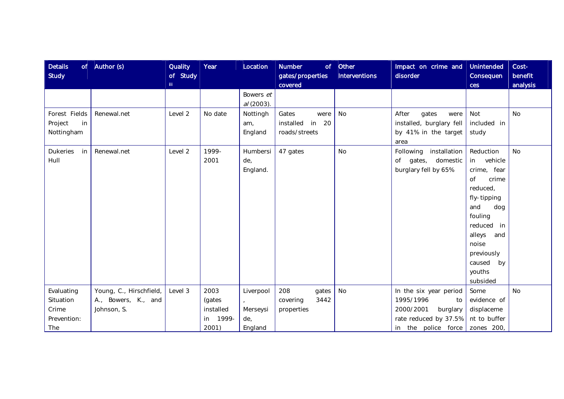| <b>Details</b><br><b>Study</b>                         | of $\vert$ Author (s)                                         | <b>Quality</b><br>of Study<br>Ш. | Year                                             | Location                                | <b>Number</b><br>gates/properties<br>covered      | $of$ Other<br><b>Interventions</b> | Impact on crime and<br>disorder                                                                                                   | Unintended<br>Consequen<br>ces                                                                                                                                                                           | Cost-<br>benefit<br>analysis |
|--------------------------------------------------------|---------------------------------------------------------------|----------------------------------|--------------------------------------------------|-----------------------------------------|---------------------------------------------------|------------------------------------|-----------------------------------------------------------------------------------------------------------------------------------|----------------------------------------------------------------------------------------------------------------------------------------------------------------------------------------------------------|------------------------------|
|                                                        |                                                               |                                  |                                                  | Bowers et<br>$al(2003)$ .               |                                                   |                                    |                                                                                                                                   |                                                                                                                                                                                                          |                              |
| Forest Fields<br>Project<br>in<br>Nottingham           | Renewal.net                                                   | Level 2                          | No date                                          | Nottingh<br>am,<br>England              | Gates<br>were<br>installed in 20<br>roads/streets | <b>No</b>                          | After<br>gates<br>were<br>installed, burglary fell<br>by 41% in the target<br>area                                                | Not<br>included in<br>study                                                                                                                                                                              | <b>No</b>                    |
| <b>Dukeries</b><br>in<br>Hull                          | Renewal.net                                                   | Level 2                          | 1999-<br>2001                                    | Humbersi<br>de,<br>England.             | 47 gates                                          | <b>No</b>                          | Following installation<br>of gates, domestic<br>burglary fell by 65%                                                              | Reduction<br>vehicle<br>in<br>crime, fear<br>of<br>crime<br>reduced,<br>fly-tipping<br>and<br>dog<br>fouling<br>reduced in<br>alleys<br>and<br>noise<br>previously<br>caused<br>by<br>youths<br>subsided | <b>No</b>                    |
| Evaluating<br>Situation<br>Crime<br>Prevention:<br>The | Young, C., Hirschfield,<br>A., Bowers, K., and<br>Johnson, S. | Level 3                          | 2003<br>(gates<br>installed<br>in 1999-<br>2001) | Liverpool<br>Merseysi<br>de,<br>England | 208<br>gates<br>3442<br>covering<br>properties    | No                                 | In the six year period<br>1995/1996<br>to<br>2000/2001<br>burglary<br>rate reduced by 37.5%<br>in the police force $z$ zones 200, | Some<br>evidence of<br>displaceme<br>nt to buffer                                                                                                                                                        | <b>No</b>                    |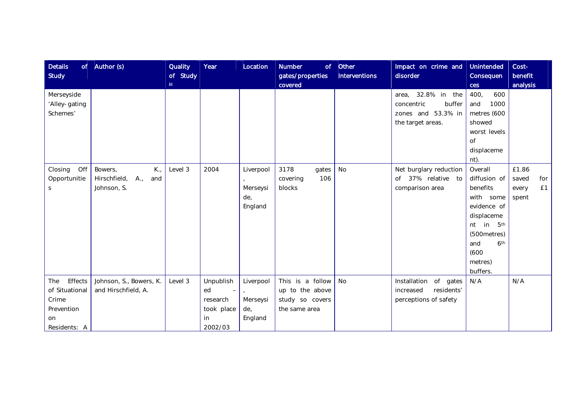| <b>Details</b><br><b>Study</b>                          | of $ $ Author (s)                                                           | <b>Quality</b><br>of Study<br>m. | Year                                                                  | Location                                | <b>Number</b><br>of<br>gates/properties<br>covered                      | Other<br><b>Interventions</b> | Impact on crime and<br>disorder                                                       | <b>Unintended</b><br>Consequen<br>ces                                                                                                                               | Cost-<br>benefit<br>analysis                  |
|---------------------------------------------------------|-----------------------------------------------------------------------------|----------------------------------|-----------------------------------------------------------------------|-----------------------------------------|-------------------------------------------------------------------------|-------------------------------|---------------------------------------------------------------------------------------|---------------------------------------------------------------------------------------------------------------------------------------------------------------------|-----------------------------------------------|
| Merseyside<br>'Alley-gating<br>Schemes'                 |                                                                             |                                  |                                                                       |                                         |                                                                         |                               | area, 32.8% in the<br>buffer<br>concentric<br>zones and 53.3% in<br>the target areas. | 400,<br>600<br>and<br>1000<br>metres (600<br>showed<br>worst levels<br><b>of</b><br>displaceme                                                                      |                                               |
|                                                         |                                                                             |                                  |                                                                       |                                         |                                                                         |                               |                                                                                       | nt).                                                                                                                                                                |                                               |
| Off<br>Closing<br>Opportunitie<br>S                     | Bowers,<br>$K_{\cdot}$<br>Hirschfield,<br>$A_{\cdot}$<br>and<br>Johnson, S. | Level 3                          | 2004                                                                  | Liverpool<br>Merseysi<br>de,<br>England | 3178<br>gates<br>106<br>covering<br>blocks                              | No                            | Net burglary reduction<br>37% relative to<br>of<br>comparison area                    | Overall<br>diffusion of<br>benefits<br>with some<br>evidence of<br>displaceme<br>nt in 5th<br>(500metres)<br>and<br>6 <sup>th</sup><br>(600)<br>metres)<br>buffers. | £1.86<br>saved<br>for<br>£1<br>every<br>spent |
| Effects<br>The<br>of Situational<br>Crime<br>Prevention | Johnson, S., Bowers, K.<br>and Hirschfield, A.                              | Level 3                          | Unpublish<br>ed<br>$\overline{\phantom{m}}$<br>research<br>took place | Liverpool<br>Merseysi<br>de,            | This is a follow<br>up to the above<br>study so covers<br>the same area | No                            | Installation of gates<br>residents'<br>increased<br>perceptions of safety             | N/A                                                                                                                                                                 | N/A                                           |
| on<br>Residents: A                                      |                                                                             |                                  | in<br>2002/03                                                         | England                                 |                                                                         |                               |                                                                                       |                                                                                                                                                                     |                                               |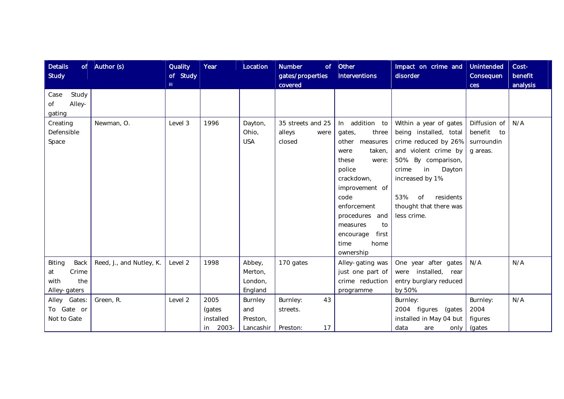| <b>Details</b><br><b>Study</b>                               | of $\vert$ Author (s)    | <b>Quality</b><br>of Study<br>TH. | Year                                          | Location                                           | <b>Number</b><br>of<br>gates/properties<br>covered | Other<br><b>Interventions</b>                                                                                                                                                                                                                      | Impact on crime and<br>disorder                                                                                                                                                                                                         | Unintended<br>Consequen<br>ces                          | Cost-<br>benefit<br>analysis |
|--------------------------------------------------------------|--------------------------|-----------------------------------|-----------------------------------------------|----------------------------------------------------|----------------------------------------------------|----------------------------------------------------------------------------------------------------------------------------------------------------------------------------------------------------------------------------------------------------|-----------------------------------------------------------------------------------------------------------------------------------------------------------------------------------------------------------------------------------------|---------------------------------------------------------|------------------------------|
| Study<br>Case<br>Alley-<br>Οf<br>gating                      |                          |                                   |                                               |                                                    |                                                    |                                                                                                                                                                                                                                                    |                                                                                                                                                                                                                                         |                                                         |                              |
| Creating<br>Defensible<br>Space                              | Newman, O.               | Level 3                           | 1996                                          | Dayton,<br>Ohio,<br><b>USA</b>                     | 35 streets and 25<br>alleys<br>were<br>closed      | In addition to<br>three<br>gates,<br>other<br>measures<br>taken,<br>were<br>were:<br>these<br>police<br>crackdown,<br>improvement of<br>code<br>enforcement<br>procedures and<br>to<br>measures<br>first<br>encourage<br>time<br>home<br>ownership | Within a year of gates<br>being installed, total<br>crime reduced by 26%<br>and violent crime by<br>50%. By comparison,<br>Dayton<br>in<br>crime<br>increased by 1%.<br>53%<br>of<br>residents<br>thought that there was<br>less crime. | Diffusion of<br>benefit<br>to<br>surroundin<br>g areas. | N/A                          |
| Back<br>Biting<br>Crime<br>at<br>the<br>with<br>Alley-gaters | Reed, J., and Nutley, K. | Level 2                           | 1998                                          | Abbey,<br>Merton,<br>London,<br>England            | 170 gates                                          | Alley-gating was<br>just one part of<br>crime reduction<br>programme                                                                                                                                                                               | One year after gates<br>were installed, rear<br>entry burglary reduced<br>by 50%                                                                                                                                                        | N/A                                                     | N/A                          |
| Alley Gates:<br>To Gate or<br>Not to Gate                    | Green, R.                | Level 2                           | 2005<br>(gates<br>installed<br>$2003 -$<br>in | Burnley<br>and<br>Preston,<br>Lancashir   Preston: | 43<br>Burnley:<br>streets.<br>17                   |                                                                                                                                                                                                                                                    | Burnley:<br>2004 figures (gates<br>installed in May 04 but<br>data<br>are                                                                                                                                                               | Burnley:<br>2004<br>figures<br>only $\int$ (gates       | N/A                          |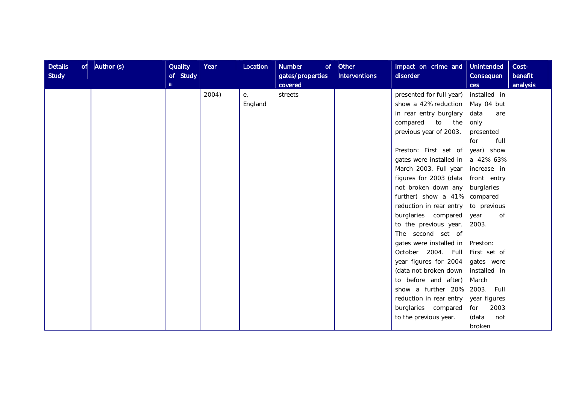| <b>Details</b><br><b>Study</b> | of $ $ Author (s) | Quality<br>of Study<br>m. | Year  | Location | <b>Number</b><br>gates/properties<br>covered | $of$ Other<br><b>Interventions</b> | Impact on crime and<br>disorder | Unintended<br>Consequen<br>ces | Cost-<br>benefit<br>analysis |
|--------------------------------|-------------------|---------------------------|-------|----------|----------------------------------------------|------------------------------------|---------------------------------|--------------------------------|------------------------------|
|                                |                   |                           | 2004) | $e_{i}$  | streets                                      |                                    | presented for full year)        | installed in                   |                              |
|                                |                   |                           |       | England  |                                              |                                    | show a 42% reduction            | May 04 but                     |                              |
|                                |                   |                           |       |          |                                              |                                    | in rear entry burglary          | data<br>are                    |                              |
|                                |                   |                           |       |          |                                              |                                    | compared<br>to the              | only                           |                              |
|                                |                   |                           |       |          |                                              |                                    | previous year of 2003.          | presented                      |                              |
|                                |                   |                           |       |          |                                              |                                    |                                 | full<br>for                    |                              |
|                                |                   |                           |       |          |                                              |                                    | Preston: First set of           | year) show                     |                              |
|                                |                   |                           |       |          |                                              |                                    | gates were installed in         | a 42% 63%                      |                              |
|                                |                   |                           |       |          |                                              |                                    | March 2003. Full year           | increase in                    |                              |
|                                |                   |                           |       |          |                                              |                                    | figures for 2003 (data          | front entry                    |                              |
|                                |                   |                           |       |          |                                              |                                    | not broken down any             | burglaries                     |                              |
|                                |                   |                           |       |          |                                              |                                    | further) show a 41%             | compared                       |                              |
|                                |                   |                           |       |          |                                              |                                    | reduction in rear entry         | to previous                    |                              |
|                                |                   |                           |       |          |                                              |                                    | burglaries compared             | of<br>year                     |                              |
|                                |                   |                           |       |          |                                              |                                    | to the previous year.           | 2003.                          |                              |
|                                |                   |                           |       |          |                                              |                                    | The second set of               |                                |                              |
|                                |                   |                           |       |          |                                              |                                    | gates were installed in         | Preston:                       |                              |
|                                |                   |                           |       |          |                                              |                                    | October 2004. Full              | First set of                   |                              |
|                                |                   |                           |       |          |                                              |                                    | year figures for 2004           | gates were                     |                              |
|                                |                   |                           |       |          |                                              |                                    | (data not broken down           | installed in                   |                              |
|                                |                   |                           |       |          |                                              |                                    | to before and after)            | March                          |                              |
|                                |                   |                           |       |          |                                              |                                    | show a further 20%              | 2003. Full                     |                              |
|                                |                   |                           |       |          |                                              |                                    | reduction in rear entry         | year figures                   |                              |
|                                |                   |                           |       |          |                                              |                                    | burglaries compared             | 2003<br>for                    |                              |
|                                |                   |                           |       |          |                                              |                                    | to the previous year.           | (data<br>not                   |                              |
|                                |                   |                           |       |          |                                              |                                    |                                 | broken                         |                              |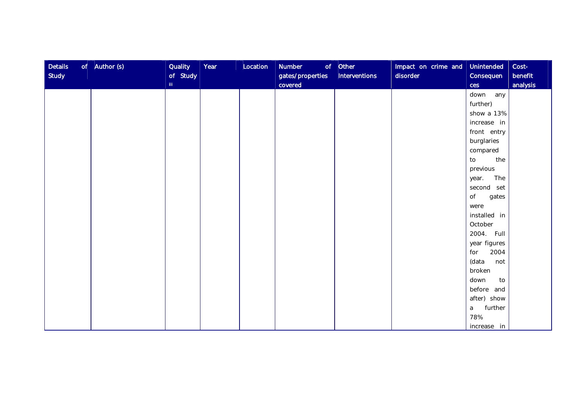| <b>Details</b><br><b>Study</b> | of $\vert$ Author (s) | <b>Quality</b><br>of Study<br>III. | Year | Location | Number<br>gates/properties<br>covered | $of$ Other<br>Interventions | Impact on crime and<br>disorder | <b>Unintended</b><br>Consequen<br>ces | Cost-<br>benefit<br>analysis |
|--------------------------------|-----------------------|------------------------------------|------|----------|---------------------------------------|-----------------------------|---------------------------------|---------------------------------------|------------------------------|
|                                |                       |                                    |      |          |                                       |                             |                                 | down any                              |                              |
|                                |                       |                                    |      |          |                                       |                             |                                 | further)                              |                              |
|                                |                       |                                    |      |          |                                       |                             |                                 | show a 13%                            |                              |
|                                |                       |                                    |      |          |                                       |                             |                                 | increase in                           |                              |
|                                |                       |                                    |      |          |                                       |                             |                                 | front entry                           |                              |
|                                |                       |                                    |      |          |                                       |                             |                                 | burglaries                            |                              |
|                                |                       |                                    |      |          |                                       |                             |                                 | compared                              |                              |
|                                |                       |                                    |      |          |                                       |                             |                                 | the<br>to                             |                              |
|                                |                       |                                    |      |          |                                       |                             |                                 | previous                              |                              |
|                                |                       |                                    |      |          |                                       |                             |                                 | The<br>year.                          |                              |
|                                |                       |                                    |      |          |                                       |                             |                                 | second set                            |                              |
|                                |                       |                                    |      |          |                                       |                             |                                 | of<br>gates                           |                              |
|                                |                       |                                    |      |          |                                       |                             |                                 | were                                  |                              |
|                                |                       |                                    |      |          |                                       |                             |                                 | installed in                          |                              |
|                                |                       |                                    |      |          |                                       |                             |                                 | October                               |                              |
|                                |                       |                                    |      |          |                                       |                             |                                 | 2004. Full                            |                              |
|                                |                       |                                    |      |          |                                       |                             |                                 | year figures                          |                              |
|                                |                       |                                    |      |          |                                       |                             |                                 | 2004<br>for                           |                              |
|                                |                       |                                    |      |          |                                       |                             |                                 | (data<br>not                          |                              |
|                                |                       |                                    |      |          |                                       |                             |                                 | broken                                |                              |
|                                |                       |                                    |      |          |                                       |                             |                                 | down<br>to                            |                              |
|                                |                       |                                    |      |          |                                       |                             |                                 | before and                            |                              |
|                                |                       |                                    |      |          |                                       |                             |                                 | after) show                           |                              |
|                                |                       |                                    |      |          |                                       |                             |                                 | further<br>a                          |                              |
|                                |                       |                                    |      |          |                                       |                             |                                 | 78%                                   |                              |
|                                |                       |                                    |      |          |                                       |                             |                                 | increase in                           |                              |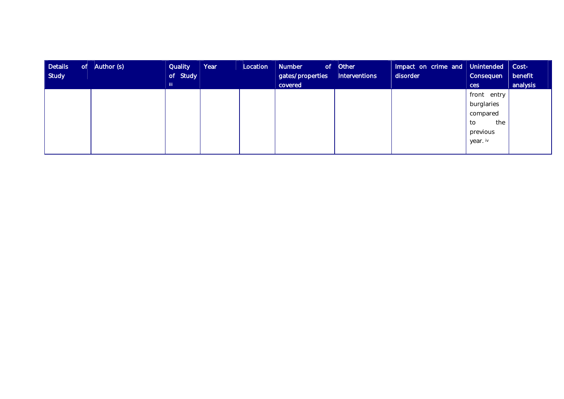| <b>Details</b><br>of<br>Study | Author (s) | <b>Quality</b><br>of Study | Year | Location | <b>Number</b><br>gates/properties | $of$ Other<br>Interventions | Impact on crime and Unintended Cost-<br>disorder | Consequen   | benefit  |
|-------------------------------|------------|----------------------------|------|----------|-----------------------------------|-----------------------------|--------------------------------------------------|-------------|----------|
|                               |            | TIL.                       |      |          | covered                           |                             |                                                  | ces         | analysis |
|                               |            |                            |      |          |                                   |                             |                                                  | front entry |          |
|                               |            |                            |      |          |                                   |                             |                                                  | burglaries  |          |
|                               |            |                            |      |          |                                   |                             |                                                  | compared    |          |
|                               |            |                            |      |          |                                   |                             |                                                  | the<br>to   |          |
|                               |            |                            |      |          |                                   |                             |                                                  | previous    |          |
|                               |            |                            |      |          |                                   |                             |                                                  | year. iv    |          |
|                               |            |                            |      |          |                                   |                             |                                                  |             |          |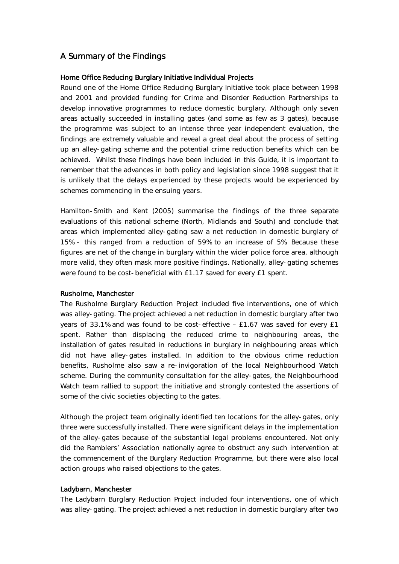# A Summary of the Findings

#### Home Office Reducing Burglary Initiative Individual Projects

Round one of the Home Office Reducing Burglary Initiative took place between 1998 and 2001 and provided funding for Crime and Disorder Reduction Partnerships to develop innovative programmes to reduce domestic burglary. Although only seven areas actually succeeded in installing gates (and some as few as 3 gates), because the programme was subject to an intense three year independent evaluation, the findings are extremely valuable and reveal a great deal about the process of setting up an alley-gating scheme and the potential crime reduction benefits which can be achieved. Whilst these findings have been included in this Guide, it is important to remember that the advances in both policy and legislation since 1998 suggest that it is unlikely that the delays experienced by these projects would be experienced by schemes commencing in the ensuing years.

Hamilton-Smith and Kent (2005) summarise the findings of the three separate evaluations of this national scheme (North, Midlands and South) and conclude that areas which implemented alley-gating saw a net reduction in domestic burglary of 15% - this ranged from a reduction of 59% to an increase of 5%. Because these figures are net of the change in burglary within the wider police force area, although more valid, they often mask more positive findings. Nationally, alley-gating schemes were found to be cost-beneficial with £1.17 saved for every £1 spent.

#### Rusholme, Manchester

The Rusholme Burglary Reduction Project included five interventions, one of which was alley-gating. The project achieved a net reduction in domestic burglary after two years of 33.1% and was found to be cost-effective – £1.67 was saved for every £1 spent. Rather than displacing the reduced crime to neighbouring areas, the installation of gates resulted in reductions in burglary in neighbouring areas which did not have alley-gates installed. In addition to the obvious crime reduction benefits, Rusholme also saw a re-invigoration of the local Neighbourhood Watch scheme. During the community consultation for the alley-gates, the Neighbourhood Watch team rallied to support the initiative and strongly contested the assertions of some of the civic societies objecting to the gates.

Although the project team originally identified ten locations for the alley-gates, only three were successfully installed. There were significant delays in the implementation of the alley-gates because of the substantial legal problems encountered. Not only did the Ramblers' Association nationally agree to obstruct any such intervention at the commencement of the Burglary Reduction Programme, but there were also local action groups who raised objections to the gates.

#### Ladybarn, Manchester

The Ladybarn Burglary Reduction Project included four interventions, one of which was alley-gating. The project achieved a net reduction in domestic burglary after two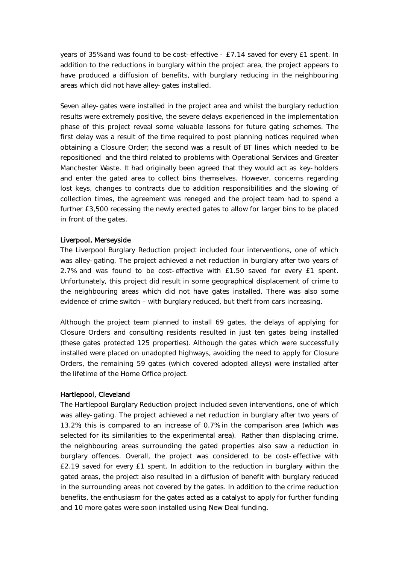years of 35% and was found to be cost-effective - £7.14 saved for every £1 spent. In addition to the reductions in burglary within the project area, the project appears to have produced a diffusion of benefits, with burglary reducing in the neighbouring areas which did not have alley-gates installed.

Seven alley-gates were installed in the project area and whilst the burglary reduction results were extremely positive, the severe delays experienced in the implementation phase of this project reveal some valuable lessons for future gating schemes. The first delay was a result of the time required to post planning notices required when obtaining a Closure Order; the second was a result of BT lines which needed to be repositioned and the third related to problems with Operational Services and Greater Manchester Waste. It had originally been agreed that they would act as key-holders and enter the gated area to collect bins themselves. However, concerns regarding lost keys, changes to contracts due to addition responsibilities and the slowing of collection times, the agreement was reneged and the project team had to spend a further £3,500 recessing the newly erected gates to allow for larger bins to be placed in front of the gates.

#### Liverpool, Merseyside

The Liverpool Burglary Reduction project included four interventions, one of which was alley-gating. The project achieved a net reduction in burglary after two years of 2.7% and was found to be cost-effective with £1.50 saved for every £1 spent. Unfortunately, this project did result in some geographical displacement of crime to the neighbouring areas which did not have gates installed. There was also some evidence of crime switch – with burglary reduced, but theft from cars increasing.

Although the project team planned to install 69 gates, the delays of applying for Closure Orders and consulting residents resulted in just ten gates being installed (these gates protected 125 properties). Although the gates which were successfully installed were placed on unadopted highways, avoiding the need to apply for Closure Orders, the remaining 59 gates (which covered adopted alleys) were installed after the lifetime of the Home Office project.

#### Hartlepool, Cleveland

The Hartlepool Burglary Reduction project included seven interventions, one of which was alley-gating. The project achieved a net reduction in burglary after two years of 13.2%; this is compared to an increase of 0.7% in the comparison area (which was selected for its similarities to the experimental area). Rather than displacing crime, the neighbouring areas surrounding the gated properties also saw a reduction in burglary offences. Overall, the project was considered to be cost-effective with £2.19 saved for every £1 spent. In addition to the reduction in burglary within the gated areas, the project also resulted in a diffusion of benefit with burglary reduced in the surrounding areas not covered by the gates. In addition to the crime reduction benefits, the enthusiasm for the gates acted as a catalyst to apply for further funding and 10 more gates were soon installed using New Deal funding.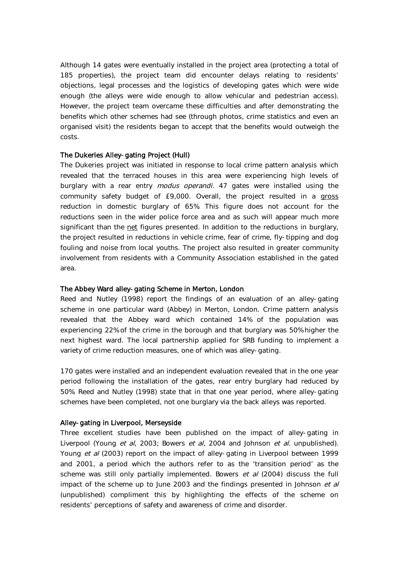Although 14 gates were eventually installed in the project area (protecting a total of 185 properties), the project team did encounter delays relating to residents' objections, legal processes and the logistics of developing gates which were wide enough (the alleys were wide enough to allow vehicular and pedestrian access). However, the project team overcame these difficulties and after demonstrating the benefits which other schemes had see (through photos, crime statistics and even an organised visit) the residents began to accept that the benefits would outweigh the costs.

#### The Dukeries Alley-gating Project (Hull)

The Dukeries project was initiated in response to local crime pattern analysis which revealed that the terraced houses in this area were experiencing high levels of burglary with a rear entry *modus operandi*. 47 gates were installed using the community safety budget of £9,000. Overall, the project resulted in a gross reduction in domestic burglary of 65%. This figure does not account for the reductions seen in the wider police force area and as such will appear much more significant than the net figures presented. In addition to the reductions in burglary, the project resulted in reductions in vehicle crime, fear of crime, fly-tipping and dog fouling and noise from local youths. The project also resulted in greater community involvement from residents with a Community Association established in the gated area.

#### The Abbey Ward alley-gating Scheme in Merton, London

Reed and Nutley (1998) report the findings of an evaluation of an alley-gating scheme in one particular ward (Abbey) in Merton, London. Crime pattern analysis revealed that the Abbey ward which contained 14% of the population was experiencing 22% of the crime in the borough and that burglary was 50% higher the next highest ward. The local partnership applied for SRB funding to implement a variety of crime reduction measures, one of which was alley-gating.

170 gates were installed and an independent evaluation revealed that in the one year period following the installation of the gates, rear entry burglary had reduced by 50%. Reed and Nutley (1998) state that in that one year period, where alley-gating schemes have been completed, not one burglary via the back alleys was reported.

#### Alley-gating in Liverpool, Merseyside

Three excellent studies have been published on the impact of alley-gating in Liverpool (Young et al, 2003; Bowers et al, 2004 and Johnson et al. unpublished). Young et al (2003) report on the impact of alley-gating in Liverpool between 1999 and 2001, a period which the authors refer to as the 'transition period' as the scheme was still only partially implemented. Bowers et al (2004) discuss the full impact of the scheme up to June 2003 and the findings presented in Johnson et al (unpublished) compliment this by highlighting the effects of the scheme on residents' perceptions of safety and awareness of crime and disorder.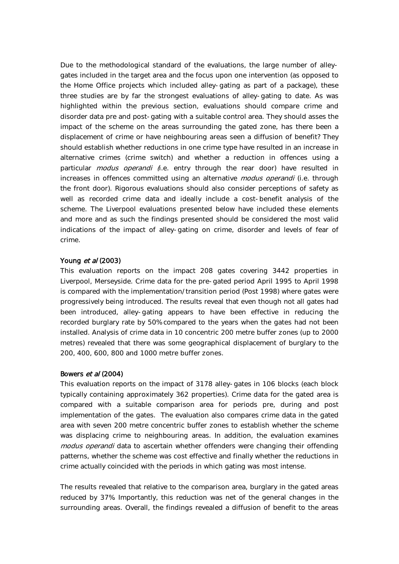Due to the methodological standard of the evaluations, the large number of alleygates included in the target area and the focus upon one intervention (as opposed to the Home Office projects which included alley-gating as part of a package), these three studies are by far the strongest evaluations of alley-gating to date. As was highlighted within the previous section, evaluations should compare crime and disorder data pre and post-gating with a suitable control area. They should asses the impact of the scheme on the areas surrounding the gated zone, has there been a displacement of crime or have neighbouring areas seen a diffusion of benefit? They should establish whether reductions in one crime type have resulted in an increase in alternative crimes (crime switch) and whether a reduction in offences using a particular *modus operandi* (i.e. entry through the rear door) have resulted in increases in offences committed using an alternative *modus operandi* (i.e. through the front door). Rigorous evaluations should also consider perceptions of safety as well as recorded crime data and ideally include a cost-benefit analysis of the scheme. The Liverpool evaluations presented below have included these elements and more and as such the findings presented should be considered the most valid indications of the impact of alley-gating on crime, disorder and levels of fear of crime.

#### Young et al (2003)

This evaluation reports on the impact 208 gates covering 3442 properties in Liverpool, Merseyside. Crime data for the pre-gated period April 1995 to April 1998 is compared with the implementation/transition period (Post 1998) where gates were progressively being introduced. The results reveal that even though not all gates had been introduced, alley-gating appears to have been effective in reducing the recorded burglary rate by 50% compared to the years when the gates had not been installed. Analysis of crime data in 10 concentric 200 metre buffer zones (up to 2000 metres) revealed that there was some geographical displacement of burglary to the 200, 400, 600, 800 and 1000 metre buffer zones.

#### Bowers et al (2004)

This evaluation reports on the impact of 3178 alley-gates in 106 blocks (each block typically containing approximately 362 properties). Crime data for the gated area is compared with a suitable comparison area for periods pre, during and post implementation of the gates. The evaluation also compares crime data in the gated area with seven 200 metre concentric buffer zones to establish whether the scheme was displacing crime to neighbouring areas. In addition, the evaluation examines modus operandi data to ascertain whether offenders were changing their offending patterns, whether the scheme was cost effective and finally whether the reductions in crime actually coincided with the periods in which gating was most intense.

The results revealed that relative to the comparison area, burglary in the gated areas reduced by 37%. Importantly, this reduction was net of the general changes in the surrounding areas. Overall, the findings revealed a diffusion of benefit to the areas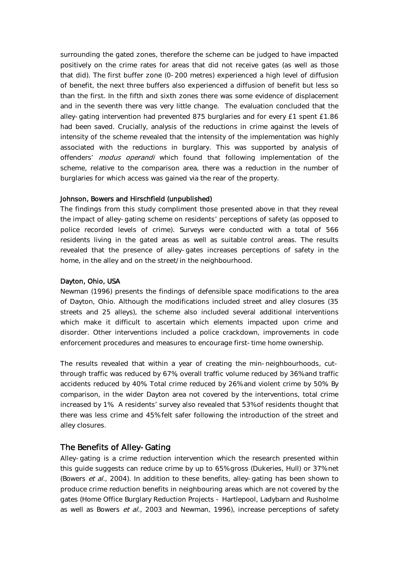surrounding the gated zones, therefore the scheme can be judged to have impacted positively on the crime rates for areas that did not receive gates (as well as those that did). The first buffer zone (0-200 metres) experienced a high level of diffusion of benefit, the next three buffers also experienced a diffusion of benefit but less so than the first. In the fifth and sixth zones there was some evidence of displacement and in the seventh there was very little change. The evaluation concluded that the alley-gating intervention had prevented 875 burglaries and for every £1 spent £1.86 had been saved. Crucially, analysis of the reductions in crime against the levels of intensity of the scheme revealed that the intensity of the implementation was highly associated with the reductions in burglary. This was supported by analysis of offenders' modus operandi which found that following implementation of the scheme, relative to the comparison area, there was a reduction in the number of burglaries for which access was gained via the rear of the property.

#### Johnson, Bowers and Hirschfield (unpublished)

The findings from this study compliment those presented above in that they reveal the impact of alley-gating scheme on residents' perceptions of safety (as opposed to police recorded levels of crime). Surveys were conducted with a total of 566 residents living in the gated areas as well as suitable control areas. The results revealed that the presence of alley-gates increases perceptions of safety in the home, in the alley and on the street/in the neighbourhood.

#### Dayton, Ohio, USA

Newman (1996) presents the findings of defensible space modifications to the area of Dayton, Ohio. Although the modifications included street and alley closures (35 streets and 25 alleys), the scheme also included several additional interventions which make it difficult to ascertain which elements impacted upon crime and disorder. Other interventions included a police crackdown, improvements in code enforcement procedures and measures to encourage first-time home ownership.

The results revealed that within a year of creating the min-neighbourhoods, cutthrough traffic was reduced by 67%, overall traffic volume reduced by 36% and traffic accidents reduced by 40%. Total crime reduced by 26% and violent crime by 50%. By comparison, in the wider Dayton area not covered by the interventions, total crime increased by 1%. A residents' survey also revealed that 53% of residents thought that there was less crime and 45% felt safer following the introduction of the street and alley closures.

## The Benefits of Alley-Gating

Alley-gating is a crime reduction intervention which the research presented within this guide suggests can reduce crime by up to 65% gross (Dukeries, Hull) or 37% net (Bowers et al., 2004). In addition to these benefits, alley-gating has been shown to produce crime reduction benefits in neighbouring areas which are not covered by the gates (Home Office Burglary Reduction Projects - Hartlepool, Ladybarn and Rusholme as well as Bowers et al., 2003 and Newman, 1996), increase perceptions of safety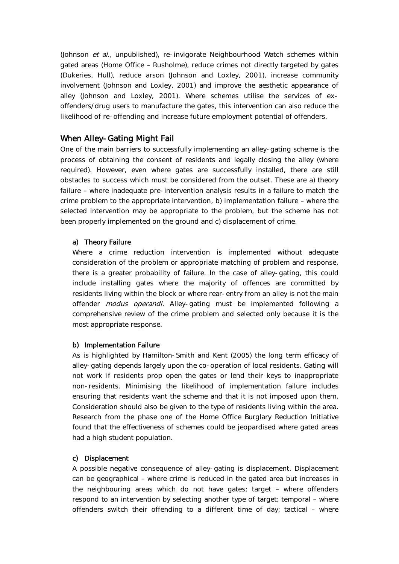(Johnson et al., unpublished), re-invigorate Neighbourhood Watch schemes within gated areas (Home Office – Rusholme), reduce crimes not directly targeted by gates (Dukeries, Hull), reduce arson (Johnson and Loxley, 2001), increase community involvement (Johnson and Loxley, 2001) and improve the aesthetic appearance of alley (Johnson and Loxley, 2001). Where schemes utilise the services of exoffenders/drug users to manufacture the gates, this intervention can also reduce the likelihood of re-offending and increase future employment potential of offenders.

# When Alley-Gating Might Fail

One of the main barriers to successfully implementing an alley-gating scheme is the process of obtaining the consent of residents and legally closing the alley (where required). However, even where gates are successfully installed, there are still obstacles to success which must be considered from the outset. These are a) theory failure – where inadequate pre-intervention analysis results in a failure to match the crime problem to the appropriate intervention, b) implementation failure – where the selected intervention may be appropriate to the problem, but the scheme has not been properly implemented on the ground and c) displacement of crime.

#### a) Theory Failure

Where a crime reduction intervention is implemented without adequate consideration of the problem or appropriate matching of problem and response, there is a greater probability of failure. In the case of alley-gating, this could include installing gates where the majority of offences are committed by residents living within the block or where rear-entry from an alley is not the main offender *modus operandi*. Alley-gating must be implemented following a comprehensive review of the crime problem and selected only because it is the most appropriate response.

#### b) Implementation Failure

As is highlighted by Hamilton-Smith and Kent (2005) the long term efficacy of alley-gating depends largely upon the co-operation of local residents. Gating will not work if residents prop open the gates or lend their keys to inappropriate non-residents. Minimising the likelihood of implementation failure includes ensuring that residents want the scheme and that it is not imposed upon them. Consideration should also be given to the type of residents living within the area. Research from the phase one of the Home Office Burglary Reduction Initiative found that the effectiveness of schemes could be jeopardised where gated areas had a high student population.

#### c) Displacement

A possible negative consequence of alley-gating is displacement. Displacement can be geographical – where crime is reduced in the gated area but increases in the neighbouring areas which do not have gates; target – where offenders respond to an intervention by selecting another type of target; temporal – where offenders switch their offending to a different time of day; tactical – where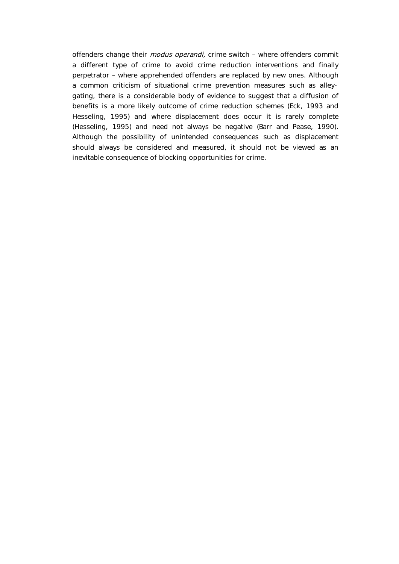offenders change their *modus operandi*, crime switch - where offenders commit a different type of crime to avoid crime reduction interventions and finally perpetrator – where apprehended offenders are replaced by new ones. Although a common criticism of situational crime prevention measures such as alleygating, there is a considerable body of evidence to suggest that a diffusion of benefits is a more likely outcome of crime reduction schemes (Eck, 1993 and Hesseling, 1995) and where displacement does occur it is rarely complete (Hesseling, 1995) and need not always be negative (Barr and Pease, 1990). Although the possibility of unintended consequences such as displacement should always be considered and measured, it should not be viewed as an inevitable consequence of blocking opportunities for crime.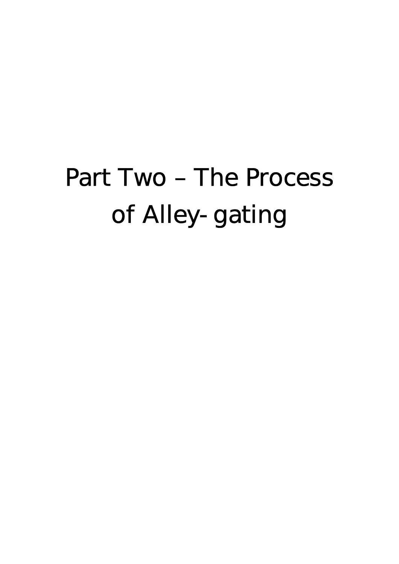# Part Two – The Process of Alley-gating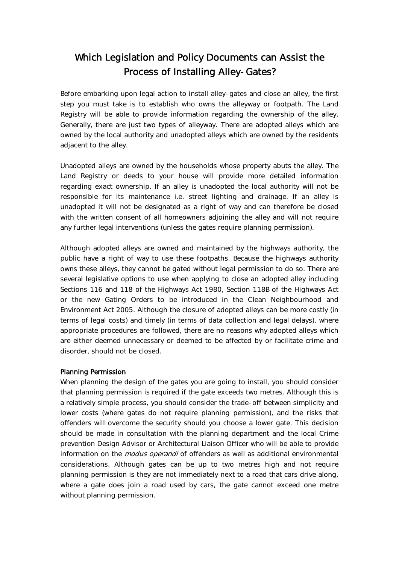# Which Legislation and Policy Documents can Assist the Process of Installing Alley-Gates?

Before embarking upon legal action to install alley-gates and close an alley, the first step you must take is to establish who owns the alleyway or footpath. The Land Registry will be able to provide information regarding the ownership of the alley. Generally, there are just two types of alleyway. There are adopted alleys which are owned by the local authority and unadopted alleys which are owned by the residents adjacent to the alley.

Unadopted alleys are owned by the households whose property abuts the alley. The Land Registry or deeds to your house will provide more detailed information regarding exact ownership. If an alley is unadopted the local authority will not be responsible for its maintenance i.e. street lighting and drainage. If an alley is unadopted it will not be designated as a right of way and can therefore be closed with the written consent of all homeowners adjoining the alley and will not require any further legal interventions (unless the gates require planning permission).

Although adopted alleys are owned and maintained by the highways authority, the public have a right of way to use these footpaths. Because the highways authority owns these alleys, they cannot be gated without legal permission to do so. There are several legislative options to use when applying to close an adopted alley including Sections 116 and 118 of the Highways Act 1980, Section 118B of the Highways Act or the new Gating Orders to be introduced in the Clean Neighbourhood and Environment Act 2005. Although the closure of adopted alleys can be more costly (in terms of legal costs) and timely (in terms of data collection and legal delays), where appropriate procedures are followed, there are no reasons why adopted alleys which are either deemed unnecessary or deemed to be affected by or facilitate crime and disorder, should not be closed.

#### Planning Permission

When planning the design of the gates you are going to install, you should consider that planning permission is required if the gate exceeds two metres. Although this is a relatively simple process, you should consider the trade-off between simplicity and lower costs (where gates do not require planning permission), and the risks that offenders will overcome the security should you choose a lower gate. This decision should be made in consultation with the planning department and the local Crime prevention Design Advisor or Architectural Liaison Officer who will be able to provide information on the *modus operandi* of offenders as well as additional environmental considerations. Although gates can be up to two metres high and not require planning permission is they are not immediately next to a road that cars drive along, where a gate does join a road used by cars, the gate cannot exceed one metre without planning permission.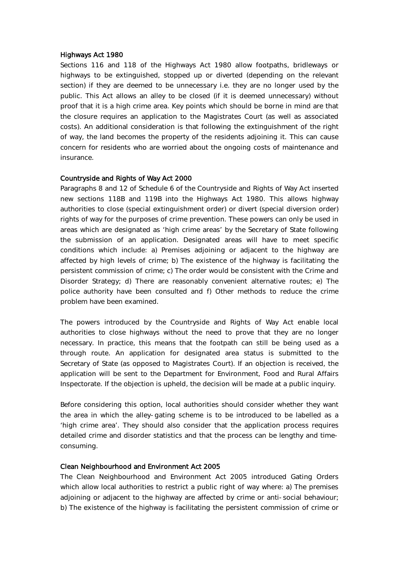#### Highways Act 1980

Sections 116 and 118 of the Highways Act 1980 allow footpaths, bridleways or highways to be extinguished, stopped up or diverted (depending on the relevant section) if they are deemed to be unnecessary i.e. they are no longer used by the public. This Act allows an alley to be closed (if it is deemed unnecessary) without proof that it is a high crime area. Key points which should be borne in mind are that the closure requires an application to the Magistrates Court (as well as associated costs). An additional consideration is that following the extinguishment of the right of way, the land becomes the property of the residents adjoining it. This can cause concern for residents who are worried about the ongoing costs of maintenance and insurance.

#### Countryside and Rights of Way Act 2000

Paragraphs 8 and 12 of Schedule 6 of the Countryside and Rights of Way Act inserted new sections 118B and 119B into the Highways Act 1980. This allows highway authorities to close (special extinguishment order) or divert (special diversion order) rights of way for the purposes of crime prevention. These powers can only be used in areas which are designated as 'high crime areas' by the Secretary of State following the submission of an application. Designated areas will have to meet specific conditions which include: a) Premises adjoining or adjacent to the highway are affected by high levels of crime; b) The existence of the highway is facilitating the persistent commission of crime; c) The order would be consistent with the Crime and Disorder Strategy; d) There are reasonably convenient alternative routes; e) The police authority have been consulted and f) Other methods to reduce the crime problem have been examined.

The powers introduced by the Countryside and Rights of Way Act enable local authorities to close highways without the need to prove that they are no longer necessary. In practice, this means that the footpath can still be being used as a through route. An application for designated area status is submitted to the Secretary of State (as opposed to Magistrates Court). If an objection is received, the application will be sent to the Department for Environment, Food and Rural Affairs Inspectorate. If the objection is upheld, the decision will be made at a public inquiry.

Before considering this option, local authorities should consider whether they want the area in which the alley-gating scheme is to be introduced to be labelled as a 'high crime area'. They should also consider that the application process requires detailed crime and disorder statistics and that the process can be lengthy and timeconsuming.

#### Clean Neighbourhood and Environment Act 2005

The Clean Neighbourhood and Environment Act 2005 introduced Gating Orders which allow local authorities to restrict a public right of way where: a) The premises adjoining or adjacent to the highway are affected by crime or anti-social behaviour; b) The existence of the highway is facilitating the persistent commission of crime or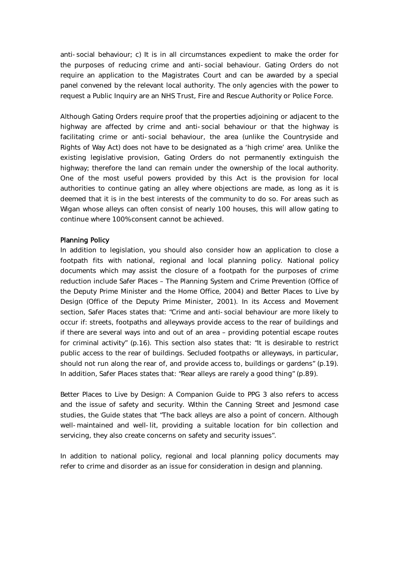anti-social behaviour; c) It is in all circumstances expedient to make the order for the purposes of reducing crime and anti-social behaviour. Gating Orders do not require an application to the Magistrates Court and can be awarded by a special panel convened by the relevant local authority. The only agencies with the power to request a Public Inquiry are an NHS Trust, Fire and Rescue Authority or Police Force.

Although Gating Orders require proof that the properties adjoining or adjacent to the highway are affected by crime and anti-social behaviour or that the highway is facilitating crime or anti-social behaviour, the area (unlike the Countryside and Rights of Way Act) does not have to be designated as a 'high crime' area. Unlike the existing legislative provision, Gating Orders do not permanently extinguish the highway; therefore the land can remain under the ownership of the local authority. One of the most useful powers provided by this Act is the provision for local authorities to continue gating an alley where objections are made, as long as it is deemed that it is in the best interests of the community to do so. For areas such as Wigan whose alleys can often consist of nearly 100 houses, this will allow gating to continue where 100% consent cannot be achieved.

#### Planning Policy

In addition to legislation, you should also consider how an application to close a footpath fits with national, regional and local planning policy. National policy documents which may assist the closure of a footpath for the purposes of crime reduction include Safer Places – The Planning System and Crime Prevention (Office of the Deputy Prime Minister and the Home Office, 2004) and Better Places to Live by Design (Office of the Deputy Prime Minister, 2001). In its Access and Movement section, Safer Places states that: "Crime and anti-social behaviour are more likely to occur if: streets, footpaths and alleyways provide access to the rear of buildings and if there are several ways into and out of an area – providing potential escape routes for criminal activity" (p.16). This section also states that: "It is desirable to restrict public access to the rear of buildings. Secluded footpaths or alleyways, in particular, should not run along the rear of, and provide access to, buildings or gardens" (p.19). In addition, Safer Places states that: "Rear alleys are rarely a good thing" (p.89).

Better Places to Live by Design: A Companion Guide to PPG 3 also refers to access and the issue of safety and security. Within the Canning Street and Jesmond case studies, the Guide states that "The back alleys are also a point of concern. Although well-maintained and well-lit, providing a suitable location for bin collection and servicing, they also create concerns on safety and security issues".

In addition to national policy, regional and local planning policy documents may refer to crime and disorder as an issue for consideration in design and planning.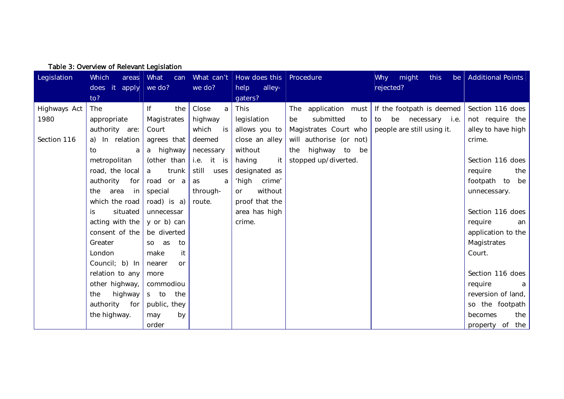| Legislation  | <b>Which</b><br>areas | What<br>can          | What can't    | How does this        | Procedure                         | <b>Why</b><br>might<br>this<br>be | <b>Additional Points</b> |
|--------------|-----------------------|----------------------|---------------|----------------------|-----------------------------------|-----------------------------------|--------------------------|
|              | does it<br>to?        | apply $\vert$ we do? | we do?        | alley-<br>help       |                                   | rejected?                         |                          |
|              |                       |                      |               | gaters?              |                                   |                                   |                          |
| Highways Act | <b>The</b>            | If<br>the            | Close<br>a    | This                 | application<br>must<br><b>The</b> | If the footpath is deemed         | Section 116 does         |
| 1980         | appropriate           | Magistrates          | highway       | legislation          | submitted<br>be<br>to             | be necessary i.e.<br>to           | not require the          |
|              | authority are:        | Court                | which<br>is l | allows you to        | Magistrates Court who             | people are still using it.        | alley to have high       |
| Section 116  | a) In relation        | agrees that          | deemed        | close an alley       | will authorise (or not)           |                                   | crime.                   |
|              | to<br>a               | a highway            | necessary     | without              | highway to<br>be<br>the           |                                   |                          |
|              | metropolitan          | (other than          | i.e. it is    | it<br>having         | stopped up/diverted.              |                                   | Section 116 does         |
|              | road, the local       | a<br>trunk           | still<br>uses | designated as        |                                   |                                   | require<br>the           |
|              | authority<br>for      | road or a            | as<br>a       | ʻhigh<br>crime'      |                                   |                                   | footpath to<br>be        |
|              | area<br>the<br>in     | special              | through-      | without<br><b>or</b> |                                   |                                   | unnecessary.             |
|              | which the road        | road) is a)          | route.        | proof that the       |                                   |                                   |                          |
|              | situated<br>İS.       | unnecessar           |               | area has high        |                                   |                                   | Section 116 does         |
|              | acting with the       | y or b) can          |               | crime.               |                                   |                                   | require<br>an            |
|              | consent of the        | be diverted          |               |                      |                                   |                                   | application to the       |
|              | Greater               | as<br>to<br>SO       |               |                      |                                   |                                   | Magistrates              |
|              | London                | it<br>make           |               |                      |                                   |                                   | Court.                   |
|              | Council; b) In        | nearer<br><b>or</b>  |               |                      |                                   |                                   |                          |
|              | relation to any       | more                 |               |                      |                                   |                                   | Section 116 does         |
|              | other highway,        | commodiou            |               |                      |                                   |                                   | require<br>a             |
|              | highway<br>the        | the<br>s to          |               |                      |                                   |                                   | reversion of land,       |
|              | authority<br>for      | public, they         |               |                      |                                   |                                   | so the footpath          |
|              | the highway.          | by<br>may            |               |                      |                                   |                                   | the<br>becomes           |
|              |                       | order                |               |                      |                                   |                                   | property of the          |

Table 3: Overview of Relevant Legislation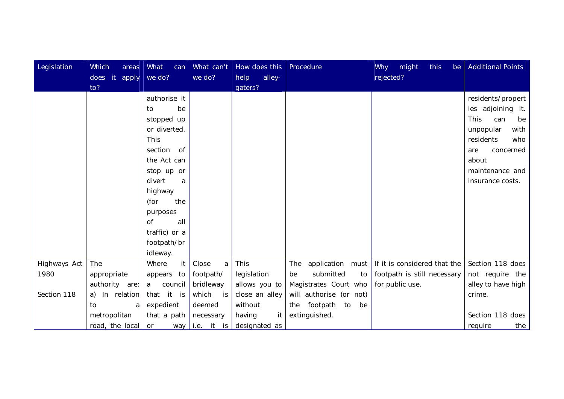| Legislation  | Which<br>areas   | <b>What</b><br>can | What can't  | How does this   Procedure |                            | Why might<br>this<br>be      | <b>Additional Points</b> |
|--------------|------------------|--------------------|-------------|---------------------------|----------------------------|------------------------------|--------------------------|
|              | does it<br>apply | we do?             | we do?      | alley-<br>help            |                            | rejected?                    |                          |
|              | to?              |                    |             | gaters?                   |                            |                              |                          |
|              |                  | authorise it       |             |                           |                            |                              | residents/propert        |
|              |                  | be<br>to           |             |                           |                            |                              | ies adjoining it.        |
|              |                  | stopped up         |             |                           |                            |                              | This<br>can<br>be        |
|              |                  | or diverted.       |             |                           |                            |                              | with<br>unpopular        |
|              |                  | This               |             |                           |                            |                              | residents<br>who         |
|              |                  | section<br>of      |             |                           |                            |                              | concerned<br>are         |
|              |                  | the Act can        |             |                           |                            |                              | about                    |
|              |                  | stop up or         |             |                           |                            |                              | maintenance and          |
|              |                  | divert<br>a        |             |                           |                            |                              | insurance costs.         |
|              |                  | highway            |             |                           |                            |                              |                          |
|              |                  | the<br>(for        |             |                           |                            |                              |                          |
|              |                  | purposes           |             |                           |                            |                              |                          |
|              |                  | <b>of</b><br>all   |             |                           |                            |                              |                          |
|              |                  | traffic) or a      |             |                           |                            |                              |                          |
|              |                  | footpath/br        |             |                           |                            |                              |                          |
|              |                  | idleway.           |             |                           |                            |                              |                          |
| Highways Act | The              | it<br>Where        | Close<br>a  | This                      | application<br>The<br>must | If it is considered that the | Section 118 does         |
| 1980         | appropriate      | appears to         | footpath/   | legislation               | submitted<br>be<br>to      | footpath is still necessary  | not require the          |
|              | authority are:   | council<br>a       | bridleway   | allows you to             | Magistrates Court who      | for public use.              | alley to have high       |
| Section 118  | a) In relation   | that<br>it is      | which<br>is | close an alley            | will authorise (or not)    |                              | crime.                   |
|              | to<br>a          | expedient          | deemed      | without                   | footpath to<br>the<br>be   |                              |                          |
|              | metropolitan     | that a path        | necessary   | having<br>it              | extinguished.              |                              | Section 118 does         |
|              | road, the local  | <b>or</b><br>way   | i.e. it is  | designated as             |                            |                              | require<br>the           |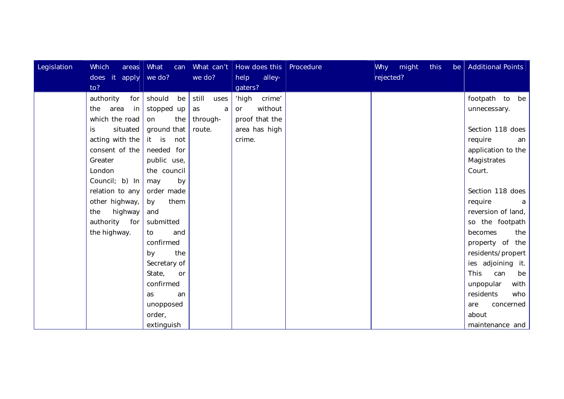| Legislation | Which<br>areas<br>does it apply | <b>What</b><br>can<br>we do? | we do?        | What can't   How does this   Procedure<br>alley-<br>help | Why might<br>rejected? | this | be   Additional Points |
|-------------|---------------------------------|------------------------------|---------------|----------------------------------------------------------|------------------------|------|------------------------|
|             | to?                             |                              |               | gaters?                                                  |                        |      |                        |
|             | authority<br>for                | should<br>be                 | still<br>uses | crime'<br>'high                                          |                        |      | footpath to<br>be      |
|             | area<br>in<br>the               | stopped up                   | as<br>a       | without<br><b>or</b>                                     |                        |      | unnecessary.           |
|             | which the road                  | the<br>on                    | through-      | proof that the                                           |                        |      |                        |
|             | situated<br>is                  | ground that                  | route.        | area has high                                            |                        |      | Section 118 does       |
|             | acting with the                 | it is<br>not                 |               | crime.                                                   |                        |      | require<br>an          |
|             | consent of the                  | needed for                   |               |                                                          |                        |      | application to the     |
|             | Greater                         | public use,                  |               |                                                          |                        |      | Magistrates            |
|             | London                          | the council                  |               |                                                          |                        |      | Court.                 |
|             | Council; b) In                  | by<br>may                    |               |                                                          |                        |      |                        |
|             | relation to any                 | order made                   |               |                                                          |                        |      | Section 118 does       |
|             | other highway,                  | them<br>by                   |               |                                                          |                        |      | require                |
|             | highway<br>the                  | and                          |               |                                                          |                        |      | reversion of land,     |
|             | for<br>authority                | submitted                    |               |                                                          |                        |      | so the footpath        |
|             | the highway.                    | and<br>to                    |               |                                                          |                        |      | becomes<br>the         |
|             |                                 | confirmed                    |               |                                                          |                        |      | property of the        |
|             |                                 | the<br>by                    |               |                                                          |                        |      | residents/propert      |
|             |                                 | Secretary of                 |               |                                                          |                        |      | ies adjoining it.      |
|             |                                 | State,<br>or                 |               |                                                          |                        |      | This<br>can<br>be      |
|             |                                 | confirmed                    |               |                                                          |                        |      | with<br>unpopular      |
|             |                                 | as<br>an                     |               |                                                          |                        |      | residents<br>who       |
|             |                                 | unopposed                    |               |                                                          |                        |      | are<br>concerned       |
|             |                                 | order,                       |               |                                                          |                        |      | about                  |
|             |                                 | extinguish                   |               |                                                          |                        |      | maintenance and        |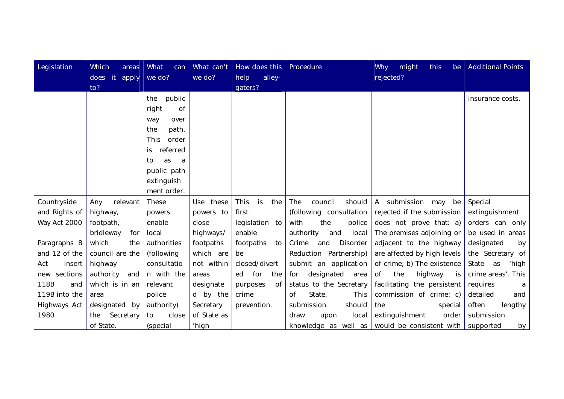| Legislation   | Which<br>areas          | <b>What</b><br>can                                                                                                                                                  | What can't  | How does this             | Procedure                 | Why<br>might<br>this<br>be  | <b>Additional Points</b> |
|---------------|-------------------------|---------------------------------------------------------------------------------------------------------------------------------------------------------------------|-------------|---------------------------|---------------------------|-----------------------------|--------------------------|
|               | does it<br>apply<br>to? | we do?                                                                                                                                                              | we do?      | alley-<br>help<br>gaters? |                           | rejected?                   |                          |
|               |                         | public<br>the<br><b>of</b><br>right<br>over<br>way<br>the<br>path.<br>This<br>order<br>referred<br>is.<br>as<br>to<br>a<br>public path<br>extinguish<br>ment order. |             |                           |                           |                             | insurance costs.         |
| Countryside   | relevant<br>Any         | These                                                                                                                                                               | Use these   | is<br>the<br>This         | council<br>should<br>The  | A submission<br>may<br>be   | Special                  |
| and Rights of | highway,                | powers                                                                                                                                                              | powers to   | first                     | (following consultation   | rejected if the submission  | extinguishment           |
| Way Act 2000  | footpath,               | enable                                                                                                                                                              | close       | legislation to            | with<br>the<br>police     | does not prove that: a)     | orders can only          |
|               | bridleway<br>for        | local                                                                                                                                                               | highways/   | enable                    | authority<br>local<br>and | The premises adjoining or   | be used in areas         |
| Paragraphs 8  | which<br>the            | authorities                                                                                                                                                         | footpaths   | footpaths<br>to           | Crime<br>Disorder<br>and  | adjacent to the highway     | designated<br>by         |
| and 12 of the | council are the         | (following                                                                                                                                                          | which are   | be                        | Reduction Partnership)    | are affected by high levels | the Secretary of         |
| Act<br>insert | highway                 | consultatio                                                                                                                                                         | not within  | closed/divert             | submit an application     | of crime; b) The existence  | State<br>as<br>'high     |
| new sections  | authority<br>and        | n with the                                                                                                                                                          | areas       | ed for<br>the             | designated area<br>for    | the<br>highway<br>Οf<br>is  | crime areas'. This       |
| 118B<br>and   | which is in an          | relevant                                                                                                                                                            | designate   | purposes<br>of            | status to the Secretary   | facilitating the persistent | requires<br>а            |
| 119B into the | area                    | police                                                                                                                                                              | d by the    | crime                     | State.<br>0f<br>This      | commission of crime; c)     | detailed<br>and          |
| Highways Act  | designated by           | authority)                                                                                                                                                          | Secretary   | prevention.               | should<br>submission      | the<br>special              | often<br>lengthy         |
| 1980          | Secretary<br>the        | to<br>close                                                                                                                                                         | of State as |                           | local<br>draw<br>upon     | extinguishment<br>order     | submission               |
|               | of State.               | (special                                                                                                                                                            | 'high       |                           | knowledge as well as      | would be consistent with    | supported<br>by          |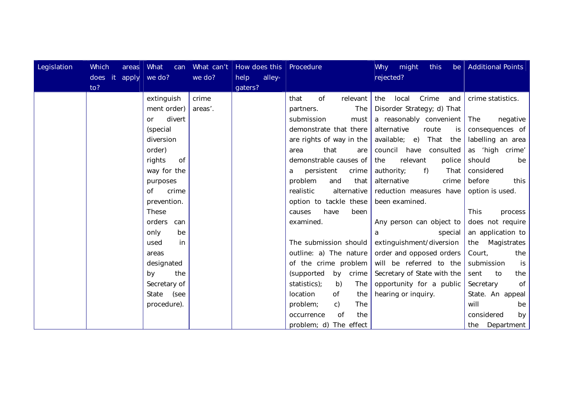| Legislation | Which<br>areas<br>does it apply we do? | <b>What</b><br>can  | we do?  | What can't   How does this   Procedure<br>alley-<br>help |                                 | Why might<br>this<br>rejected? | be   Additional Points |
|-------------|----------------------------------------|---------------------|---------|----------------------------------------------------------|---------------------------------|--------------------------------|------------------------|
|             | to?                                    |                     |         | gaters?                                                  |                                 |                                |                        |
|             |                                        | extinguish          | crime   |                                                          | that<br>0f<br>relevant          | Crime<br>the<br>local<br>and   | crime statistics.      |
|             |                                        | ment order)         | areas'. |                                                          | The  <br>partners.              | Disorder Strategy; d) That     |                        |
|             |                                        | divert<br><b>or</b> |         |                                                          | submission<br>must              | a reasonably convenient        | The<br>negative        |
|             |                                        | (special            |         |                                                          | demonstrate that there          | alternative<br>route<br>is     | consequences of        |
|             |                                        | diversion           |         |                                                          | are rights of way in the        | available; e)<br>That the      | labelling an area      |
|             |                                        | order)              |         |                                                          | that<br>area<br>are             | consulted<br>council have      | as 'high crime'        |
|             |                                        | rights<br>0f        |         |                                                          | demonstrable causes of          | relevant<br>police<br>the      | should<br>be           |
|             |                                        | way for the         |         |                                                          | persistent<br>crime  <br>a      | authority;<br>f)<br>That       | considered             |
|             |                                        | purposes            |         |                                                          | problem<br>that<br>and          | alternative<br>crime           | before<br>this         |
|             |                                        | 0f<br>crime         |         |                                                          | realistic<br>alternative        | reduction measures have        | option is used.        |
|             |                                        | prevention.         |         |                                                          | option to tackle these          | been examined.                 |                        |
|             |                                        | These               |         |                                                          | causes<br>have<br>been          |                                | This<br>process        |
|             |                                        | orders can          |         |                                                          | examined.                       | Any person can object to       | does not require       |
|             |                                        | only<br>be          |         |                                                          |                                 | special<br>a                   | an application to      |
|             |                                        | in<br>used          |         |                                                          | The submission should           | extinguishment/diversion       | the Magistrates        |
|             |                                        | areas               |         |                                                          | outline: a) The nature          | order and opposed orders       | Court,<br>the          |
|             |                                        | designated          |         |                                                          | of the crime problem            | will be referred to the        | submission<br>is       |
|             |                                        | the<br>by           |         |                                                          | (supported<br>by crime          | Secretary of State with the    | sent<br>to<br>the      |
|             |                                        | Secretary of        |         |                                                          | statistics);<br>b)<br>The       | opportunity for a public       | 0f<br>Secretary        |
|             |                                        | State (see          |         |                                                          | location<br>0f<br>the           | hearing or inquiry.            | State. An appeal       |
|             |                                        | procedure).         |         |                                                          | problem;<br>The<br>$\mathsf{C}$ |                                | will<br>be             |
|             |                                        |                     |         |                                                          | 0f<br>the<br>occurrence         |                                | considered<br>by       |
|             |                                        |                     |         |                                                          | problem; d) The effect          |                                | the Department         |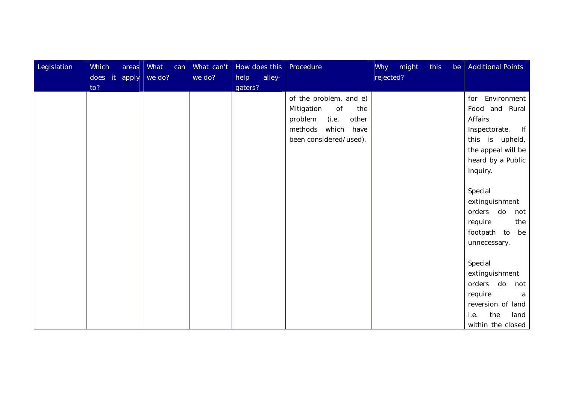| Legislation | Which          | areas | <b>What</b> | can | What can't |         | How does this | Procedure                 |           | Why might | this | be | <b>Additional Points</b> |
|-------------|----------------|-------|-------------|-----|------------|---------|---------------|---------------------------|-----------|-----------|------|----|--------------------------|
|             | does it<br>to? | apply | we do?      |     | we do?     | help    | alley-        |                           | rejected? |           |      |    |                          |
|             |                |       |             |     |            | gaters? |               | of the problem, and e)    |           |           |      |    | Environment<br>for       |
|             |                |       |             |     |            |         |               | Mitigation<br>0f<br>the   |           |           |      |    | Food and Rural           |
|             |                |       |             |     |            |         |               | (i.e.<br>problem<br>other |           |           |      |    | Affairs                  |
|             |                |       |             |     |            |         |               | which<br>have<br>methods  |           |           |      |    | f  <br>Inspectorate.     |
|             |                |       |             |     |            |         |               | been considered/used).    |           |           |      |    | this is upheld,          |
|             |                |       |             |     |            |         |               |                           |           |           |      |    | the appeal will be       |
|             |                |       |             |     |            |         |               |                           |           |           |      |    | heard by a Public        |
|             |                |       |             |     |            |         |               |                           |           |           |      |    | Inquiry.                 |
|             |                |       |             |     |            |         |               |                           |           |           |      |    |                          |
|             |                |       |             |     |            |         |               |                           |           |           |      |    | Special                  |
|             |                |       |             |     |            |         |               |                           |           |           |      |    | extinguishment           |
|             |                |       |             |     |            |         |               |                           |           |           |      |    | orders do<br>not         |
|             |                |       |             |     |            |         |               |                           |           |           |      |    | the<br>require           |
|             |                |       |             |     |            |         |               |                           |           |           |      |    | footpath to<br>be        |
|             |                |       |             |     |            |         |               |                           |           |           |      |    | unnecessary.             |
|             |                |       |             |     |            |         |               |                           |           |           |      |    |                          |
|             |                |       |             |     |            |         |               |                           |           |           |      |    | Special                  |
|             |                |       |             |     |            |         |               |                           |           |           |      |    | extinguishment           |
|             |                |       |             |     |            |         |               |                           |           |           |      |    | orders<br>do<br>not      |
|             |                |       |             |     |            |         |               |                           |           |           |      |    | require<br>a             |
|             |                |       |             |     |            |         |               |                           |           |           |      |    | reversion of land        |
|             |                |       |             |     |            |         |               |                           |           |           |      |    | the<br>land<br>i.e.      |
|             |                |       |             |     |            |         |               |                           |           |           |      |    | within the closed        |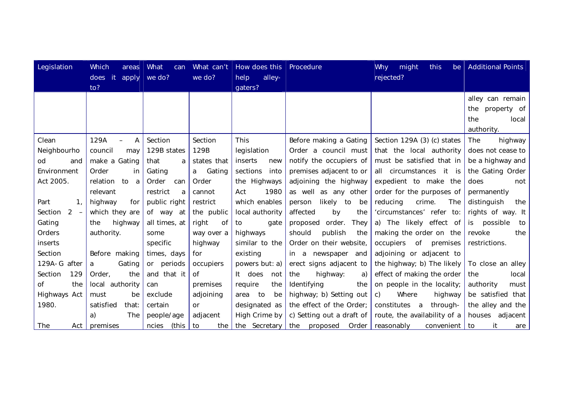| Legislation              | Which<br>areas      | <b>What</b><br>can | What can't  | How does this    | Procedure                  | Why<br>might<br>this<br>be       | <b>Additional Points</b> |
|--------------------------|---------------------|--------------------|-------------|------------------|----------------------------|----------------------------------|--------------------------|
|                          | does it<br>apply    | $we$ do?           | we do?      | alley-<br>help   |                            | rejected?                        |                          |
|                          | to?                 |                    |             | gaters?          |                            |                                  |                          |
|                          |                     |                    |             |                  |                            |                                  | alley can remain         |
|                          |                     |                    |             |                  |                            |                                  | the property of          |
|                          |                     |                    |             |                  |                            |                                  | the<br>local             |
|                          |                     |                    |             |                  |                            |                                  | authority.               |
| Clean                    | 129A<br>A           | Section            | Section     | This             | Before making a Gating     | Section 129A (3) (c) states      | The<br>highway           |
| Neighbourho              | council<br>may      | 129B states        | 129B        | legislation      | Order a council must       | that the local authority         | does not cease to        |
| od<br>and                | make a Gating       | that<br>a          | states that | inserts<br>new   | notify the occupiers of    | must be satisfied that in        | be a highway and         |
| Environment              | Order<br>in         | Gating             | a Gating    | sections<br>into | premises adjacent to or    | all circumstances it is          | the Gating Order         |
| Act 2005.                | relation<br>to<br>a | Order<br>can       | Order       | the Highways     | adjoining the highway      | expedient to make the            | does<br>not              |
|                          | relevant            | restrict<br>a      | cannot      | 1980<br>Act      | as well as any other       | order for the purposes of        | permanently              |
| Part<br>$\mathbf{1}_{1}$ | highway<br>for      | public right       | restrict    | which enables    | likely to<br>person<br>be  | The<br>reducing<br>crime.        | distinguish<br>the       |
| Section<br>$2 -$         | which they are      | of way at          | the public  | local authority  | affected<br>by<br>the      | 'circumstances' refer to:        | rights of way. It        |
| Gating                   | highway<br>the      | all times, at      | right<br>0f | gate<br>to       | order.<br>They<br>proposed | a) The likely effect of          | is possible<br>to        |
| Orders                   | authority.          | some               | way over a  | highways         | should<br>publish<br>the   | making the order on the          | revoke<br>the            |
| inserts                  |                     | specific           | highway     | similar to the   | Order on their website,    | of premises<br>occupiers         | restrictions.            |
| Section                  | Before making       | times, days        | for         | existing         | in a newspaper and         | adjoining or adjacent to         |                          |
| 129A-G after             | Gating<br>a         | or periods         | occupiers   | powers but: a)   | erect signs adjacent to    | the highway; b) The likely       | To close an alley        |
| 129<br>Section           | Order,<br>the       | and that it        | <b>of</b>   | It does<br>not   | the<br>highway:<br>a)      | effect of making the order       | the<br>local             |
| Οf<br>the                | local authority     | can                | premises    | require<br>the   | Identifying<br>the         | on people in the locality;       | authority<br>must        |
| Highways Act             | must<br>be          | exclude            | adjoining   | area to<br>be    | highway; b) Setting out    | Where<br>$\mathsf{C}$<br>highway | be satisfied that        |
| 1980.                    | satisfied<br>that:  | certain            | <b>or</b>   | designated as    | the effect of the Order;   | constitutes a<br>through-        | the alley and the        |
|                          | The<br>a)           | people/age         | adjacent    | High Crime by    | c) Setting out a draft of  | route, the availability of a     | houses adjacent          |
| The<br>Act I             | premises            | (this<br>ncies     | to<br>the I | the Secretary    | the proposed               | Order   reasonably<br>convenient | it<br>to<br>are          |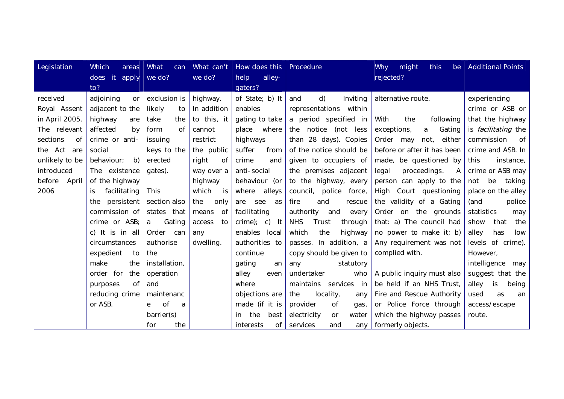| Legislation     | Which<br>areas      | <b>What</b><br>can | What can't  | How does this   Procedure |                                   | Why<br>might<br>this<br>be            | <b>Additional Points</b>   |
|-----------------|---------------------|--------------------|-------------|---------------------------|-----------------------------------|---------------------------------------|----------------------------|
|                 | does it<br>apply    | we do?             | we do?      | alley-<br>help            |                                   | rejected?                             |                            |
|                 | to?                 |                    |             | gaters?                   |                                   |                                       |                            |
| received        | adjoining<br>or     | exclusion is       | highway.    | of State; b) It           | d)<br>Inviting<br>and             | alternative route.                    | experiencing               |
| Royal Assent    | adjacent to the     | likely<br>to       | In addition | enables                   | representations within            |                                       | crime or ASB or            |
| in April 2005   | highway<br>are      | take<br>the        | to this, it | gating to take            | a period specified in             | With<br>the<br>following              | that the highway           |
| The relevant    | affected<br>by      | 0f<br>form         | cannot      | place<br>where            | the notice<br>(not less           | exceptions,<br>Gating<br>a            | is <i>facilitating</i> the |
| sections<br>0f  | crime or anti-      | issuing            | restrict    | highways                  | than 28 days). Copies             | Order may<br>not,<br>either           | commission<br>of           |
| the Act<br>are  | social              | keys to the        | the public  | suffer<br>from            | of the notice should be           | before or after it has been           | crime and ASB. In          |
| unlikely to be  | behaviour;<br>b)    | erected            | right<br>of | crime<br>and              | given to occupiers of             | made, be questioned by                | this<br>instance,          |
| introduced      | The existence       | gates).            | way over a  | anti-social               | the premises adjacent             | proceedings.<br>legal<br>$\mathsf{A}$ | crime or ASB may           |
| before<br>April | of the highway      |                    | highway     | behaviour (or             | to the highway, every             | person can apply to the               | be<br>not<br>taking        |
| 2006            | facilitating<br>is. | This               | which<br>is | alleys<br>where           | council, police<br>force,         | High Court questioning                | place on the alley         |
|                 | persistent<br>the   | section also       | the<br>only | are<br>see<br>as          | fire<br>and<br>rescue             | the validity of a Gating              | (and<br>police             |
|                 | commission of       | states that        | means<br>of | facilitating              | authority<br>and<br>every         | Order on the grounds                  | statistics<br>may          |
|                 | crime or ASB;       | Gating<br>a        | access to   | $crime);$ c) It           | <b>NHS</b><br>Trust<br>through    | that: a) The council had              | show<br>that<br>the        |
|                 | c) It is in all     | Order can          | any         | enables local             | the<br>which<br>highway           | no power to make it; b)               | alley<br>has<br>low        |
|                 | circumstances       | authorise          | dwelling.   | authorities to            | passes. In addition, a            | Any requirement was not               | levels of crime).          |
|                 | expedient<br>to     | the                |             | continue                  | copy should be given to           | complied with.                        | However,                   |
|                 | make<br>the         | installation,      |             | gating<br>an              | statutory<br>any                  |                                       | intelligence may           |
|                 | order for<br>the    | operation          |             | alley<br>even             | undertaker<br>who                 | A public inquiry must also            | suggest that the           |
|                 | of<br>purposes      | and                |             | where                     | services in<br>maintains          | be held if an NHS Trust,              | alley<br>is<br>being       |
|                 | reducing crime      | maintenanc         |             | objections are            | locality,<br>the<br>any           | Fire and Rescue Authority             | used<br>as<br>an           |
|                 | or ASB.             | 0f<br>e<br>a       |             | made (if it is            | provider<br>0f<br>gas,            | or Police Force through               | access/escape              |
|                 |                     | barrier(s)         |             | the<br>best<br>in.        | electricity<br>water<br><b>or</b> | which the highway passes              | route.                     |
|                 |                     | the<br>for         |             | 0f<br>interests           | services<br>and<br>any            | formerly objects.                     |                            |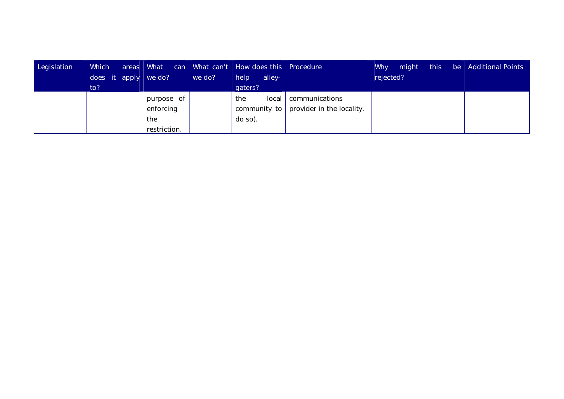| Legislation | Which<br>does it apply we do?<br>to? | areas   What<br>we do?                         | can What can't   How does this   Procedure<br>help<br>alley-<br>gaters? |                                                              | this<br>Why<br>might<br>rejected? | $\Box$ be $\Box$ Additional Points |
|-------------|--------------------------------------|------------------------------------------------|-------------------------------------------------------------------------|--------------------------------------------------------------|-----------------------------------|------------------------------------|
|             |                                      | purpose of<br>enforcing<br>the<br>restriction. | local<br>the<br>do so).                                                 | communications<br>community to $ $ provider in the locality. |                                   |                                    |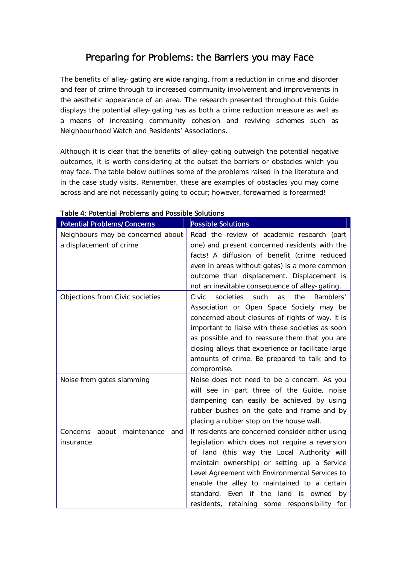# Preparing for Problems: the Barriers you may Face

The benefits of alley-gating are wide ranging, from a reduction in crime and disorder and fear of crime through to increased community involvement and improvements in the aesthetic appearance of an area. The research presented throughout this Guide displays the potential alley-gating has as both a crime reduction measure as well as a means of increasing community cohesion and reviving schemes such as Neighbourhood Watch and Residents' Associations.

Although it is clear that the benefits of alley-gating outweigh the potential negative outcomes, it is worth considering at the outset the barriers or obstacles which you may face. The table below outlines some of the problems raised in the literature and in the case study visits. Remember, these are examples of obstacles you may come across and are not necessarily going to occur; however, forewarned is forearmed!

| <b>Potential Problems/Concerns</b>   | <b>Possible Solutions</b>                                   |
|--------------------------------------|-------------------------------------------------------------|
| Neighbours may be concerned about    | Read the review of academic research (part                  |
| a displacement of crime              | one) and present concerned residents with the               |
|                                      | facts! A diffusion of benefit (crime reduced                |
|                                      | even in areas without gates) is a more common               |
|                                      | outcome than displacement. Displacement is                  |
|                                      | not an inevitable consequence of alley-gating.              |
| Objections from Civic societies      | Civic<br>societies<br>such<br>Ramblers'<br>the<br><b>as</b> |
|                                      | Association or Open Space Society may be                    |
|                                      | concerned about closures of rights of way. It is            |
|                                      | important to liaise with these societies as soon            |
|                                      | as possible and to reassure them that you are               |
|                                      | closing alleys that experience or facilitate large          |
|                                      | amounts of crime. Be prepared to talk and to                |
|                                      | compromise.                                                 |
| Noise from gates slamming            | Noise does not need to be a concern. As you                 |
|                                      | will see in part three of the Guide, noise                  |
|                                      | dampening can easily be achieved by using                   |
|                                      | rubber bushes on the gate and frame and by                  |
|                                      | placing a rubber stop on the house wall.                    |
| about maintenance<br>Concerns<br>and | If residents are concerned consider either using            |
| insurance                            | legislation which does not require a reversion              |
|                                      | of land (this way the Local Authority will                  |
|                                      | maintain ownership) or setting up a Service                 |
|                                      | Level Agreement with Environmental Services to              |
|                                      | enable the alley to maintained to a certain                 |
|                                      | standard. Even if the land is owned<br>by                   |
|                                      | residents, retaining some responsibility for                |

## Table 4: Potential Problems and Possible Solutions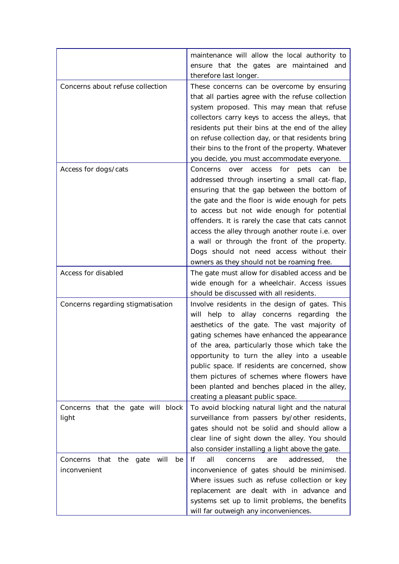|                                                               | maintenance will allow the local authority to<br>ensure that the gates are maintained and                                                                                                                                                                                                                                                                                                                                                                                                                   |
|---------------------------------------------------------------|-------------------------------------------------------------------------------------------------------------------------------------------------------------------------------------------------------------------------------------------------------------------------------------------------------------------------------------------------------------------------------------------------------------------------------------------------------------------------------------------------------------|
|                                                               | therefore last longer.                                                                                                                                                                                                                                                                                                                                                                                                                                                                                      |
| Concerns about refuse collection                              | These concerns can be overcome by ensuring<br>that all parties agree with the refuse collection<br>system proposed. This may mean that refuse<br>collectors carry keys to access the alleys, that<br>residents put their bins at the end of the alley<br>on refuse collection day, or that residents bring<br>their bins to the front of the property. Whatever<br>you decide, you must accommodate everyone.                                                                                               |
| Access for dogs/cats                                          | Concerns<br>for<br>over<br>access<br>pets<br>can<br>be<br>addressed through inserting a small cat-flap,<br>ensuring that the gap between the bottom of<br>the gate and the floor is wide enough for pets<br>to access but not wide enough for potential<br>offenders. It is rarely the case that cats cannot<br>access the alley through another route i.e. over<br>a wall or through the front of the property.<br>Dogs should not need access without their<br>owners as they should not be roaming free. |
| Access for disabled                                           | The gate must allow for disabled access and be<br>wide enough for a wheelchair. Access issues<br>should be discussed with all residents.                                                                                                                                                                                                                                                                                                                                                                    |
| Concerns regarding stigmatisation                             | Involve residents in the design of gates. This<br>help to allay concerns regarding the<br>will<br>aesthetics of the gate. The vast majority of<br>gating schemes have enhanced the appearance<br>of the area, particularly those which take the<br>opportunity to turn the alley into a useable<br>public space. If residents are concerned, show<br>them pictures of schemes where flowers have<br>been planted and benches placed in the alley,<br>creating a pleasant public space.                      |
| Concerns that the gate will block<br>light                    | To avoid blocking natural light and the natural<br>surveillance from passers by/other residents,<br>gates should not be solid and should allow a<br>clear line of sight down the alley. You should<br>also consider installing a light above the gate.                                                                                                                                                                                                                                                      |
| that<br>will<br>Concerns<br>the<br>gate<br>be<br>inconvenient | all<br>addressed,<br>lf<br>concerns<br>are<br>the<br>inconvenience of gates should be minimised.<br>Where issues such as refuse collection or key<br>replacement are dealt with in advance and<br>systems set up to limit problems, the benefits<br>will far outweigh any inconveniences.                                                                                                                                                                                                                   |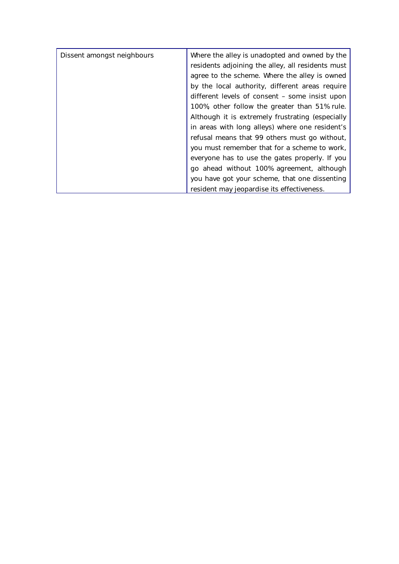| Dissent amongst neighbours | Where the alley is unadopted and owned by the     |
|----------------------------|---------------------------------------------------|
|                            | residents adjoining the alley, all residents must |
|                            | agree to the scheme. Where the alley is owned     |
|                            | by the local authority, different areas require   |
|                            | different levels of consent – some insist upon    |
|                            | 100%, other follow the greater than 51% rule.     |
|                            | Although it is extremely frustrating (especially  |
|                            | in areas with long alleys) where one resident's   |
|                            | refusal means that 99 others must go without,     |
|                            | you must remember that for a scheme to work,      |
|                            | everyone has to use the gates properly. If you    |
|                            | go ahead without 100% agreement, although         |
|                            | you have got your scheme, that one dissenting     |
|                            | resident may jeopardise its effectiveness.        |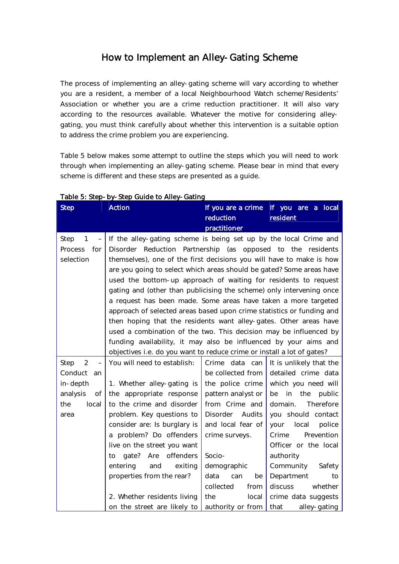# How to Implement an Alley-Gating Scheme

The process of implementing an alley-gating scheme will vary according to whether you are a resident, a member of a local Neighbourhood Watch scheme/Residents' Association or whether you are a crime reduction practitioner. It will also vary according to the resources available. Whatever the motive for considering alleygating, you must think carefully about whether this intervention is a suitable option to address the crime problem you are experiencing.

Table 5 below makes some attempt to outline the steps which you will need to work through when implementing an alley-gating scheme. Please bear in mind that every scheme is different and these steps are presented as a guide.

| <b>Step</b>                                                                                                               | <b>Action</b>                                                                                                                                                                                                                                                                                                                                                                                                                                                                                                                                                                                                                                                                                                                                                                                                                                                  | If you are a crime<br>reduction<br>practitioner                                                                                                                                                                                              | If you are a local<br>resident                                                                                                                                                                                                                                                                                               |
|---------------------------------------------------------------------------------------------------------------------------|----------------------------------------------------------------------------------------------------------------------------------------------------------------------------------------------------------------------------------------------------------------------------------------------------------------------------------------------------------------------------------------------------------------------------------------------------------------------------------------------------------------------------------------------------------------------------------------------------------------------------------------------------------------------------------------------------------------------------------------------------------------------------------------------------------------------------------------------------------------|----------------------------------------------------------------------------------------------------------------------------------------------------------------------------------------------------------------------------------------------|------------------------------------------------------------------------------------------------------------------------------------------------------------------------------------------------------------------------------------------------------------------------------------------------------------------------------|
| Step<br>1<br>$\qquad \qquad -$<br>Process<br>for<br>selection                                                             | If the alley-gating scheme is being set up by the local Crime and<br>Disorder Reduction Partnership (as opposed to the residents<br>themselves), one of the first decisions you will have to make is how<br>are you going to select which areas should be gated? Some areas have<br>used the bottom-up approach of waiting for residents to request<br>gating and (other than publicising the scheme) only intervening once<br>a request has been made. Some areas have taken a more targeted<br>approach of selected areas based upon crime statistics or funding and<br>then hoping that the residents want alley-gates. Other areas have<br>used a combination of the two. This decision may be influenced by<br>funding availability, it may also be influenced by your aims and<br>objectives i.e. do you want to reduce crime or install a lot of gates? |                                                                                                                                                                                                                                              |                                                                                                                                                                                                                                                                                                                              |
| $\overline{2}$<br>Step<br>$\overline{\phantom{0}}$<br>Conduct<br>an<br>in-depth<br>analysis<br>of<br>the<br>local<br>area | You will need to establish:<br>1. Whether alley-gating is<br>the appropriate response<br>to the crime and disorder<br>problem. Key questions to<br>consider are: Is burglary is<br>a problem? Do offenders<br>live on the street you want<br>Are offenders<br>gate?<br>to<br>entering<br>and<br>exiting<br>properties from the rear?<br>2. Whether residents living                                                                                                                                                                                                                                                                                                                                                                                                                                                                                            | Crime data can<br>be collected from<br>the police crime<br>pattern analyst or<br>from Crime and<br>Disorder Audits<br>and local fear of<br>crime surveys.<br>Socio-<br>demographic<br>data<br>can<br>be<br>collected<br>from<br>the<br>local | It is unlikely that the<br>detailed crime data<br>which you need will<br>in the<br>be<br>public<br>domain.<br>Therefore<br>you should contact<br>local<br>your<br>police<br>Prevention<br>Crime<br>Officer or the local<br>authority<br>Community<br>Safety<br>Department<br>to<br>discuss<br>whether<br>crime data suggests |
|                                                                                                                           | on the street are likely to                                                                                                                                                                                                                                                                                                                                                                                                                                                                                                                                                                                                                                                                                                                                                                                                                                    | authority or from                                                                                                                                                                                                                            | that<br>alley-gating                                                                                                                                                                                                                                                                                                         |

#### Table 5: Step-by-Step Guide to Alley-Gating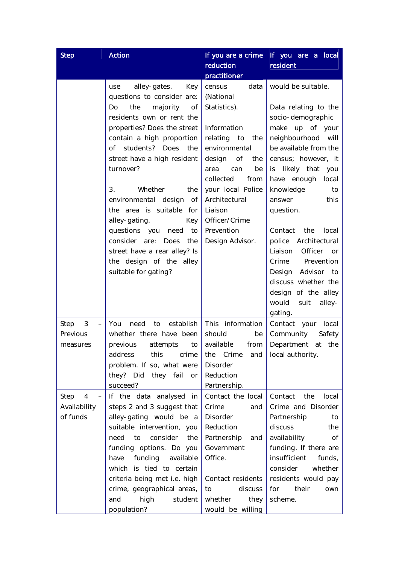| <b>Step</b>                           | <b>Action</b>                                                                                                                                                                                                                                                                                                                                                                                                                                                                                               | If you are a crime<br>reduction<br>practitioner                                                                                                                                                                                                                       | If you are a local<br>resident                                                                                                                                                                                                                                                                                                                                                                                                                               |
|---------------------------------------|-------------------------------------------------------------------------------------------------------------------------------------------------------------------------------------------------------------------------------------------------------------------------------------------------------------------------------------------------------------------------------------------------------------------------------------------------------------------------------------------------------------|-----------------------------------------------------------------------------------------------------------------------------------------------------------------------------------------------------------------------------------------------------------------------|--------------------------------------------------------------------------------------------------------------------------------------------------------------------------------------------------------------------------------------------------------------------------------------------------------------------------------------------------------------------------------------------------------------------------------------------------------------|
|                                       | alley-gates.<br>Key<br>use<br>questions to consider are:<br>Do<br>the<br>majority<br>0f<br>residents own or rent the<br>properties? Does the street<br>contain a high proportion<br>of students? Does<br>the<br>street have a high resident<br>turnover?<br>3.<br>Whether<br>the<br>environmental design of<br>the area is suitable for<br>alley-gating.<br>Key<br>questions you need to<br>consider are:<br>the<br>Does<br>street have a rear alley? Is<br>the design of the alley<br>suitable for gating? | census<br>data<br>(National<br>Statistics).<br>Information<br>relating to<br>the<br>environmental<br>of<br>design<br>the<br>area<br>can<br>be<br>collected<br>from<br>your local Police<br>Architectural<br>Liaison<br>Officer/Crime<br>Prevention<br>Design Advisor. | would be suitable.<br>Data relating to the<br>socio-demographic<br>make up of your<br>neighbourhood will<br>be available from the<br>census; however, it<br>likely that<br>is<br>you<br>have enough<br>local<br>knowledge<br>to<br>this<br>answer<br>question.<br>Contact<br>the<br>local<br>police Architectural<br>Liaison Officer or<br>Prevention<br>Crime<br>Design Advisor to<br>discuss whether the<br>design of the alley<br>would<br>suit<br>alley- |
| Step<br>3<br>Previous<br>measures     | You<br>establish<br>need<br>to<br>whether there have been<br>previous<br>attempts<br>to<br>this<br>address<br>crime<br>problem. If so, what were<br>they? Did they fail<br>or<br>succeed?                                                                                                                                                                                                                                                                                                                   | This information<br>should<br>be<br>from<br>available<br>Crime<br>the<br>and<br>Disorder<br>Reduction<br>Partnership.                                                                                                                                                 | gating.<br>Contact your local<br>Community<br>Safety<br>Department<br>at<br>the<br>local authority.                                                                                                                                                                                                                                                                                                                                                          |
| Step<br>4<br>Availability<br>of funds | If the data analysed in<br>steps 2 and 3 suggest that<br>alley-gating would be a<br>suitable intervention, you<br>to<br>consider<br>need<br>the<br>funding options. Do you<br>funding<br>available<br>have<br>which is tied to certain<br>criteria being met i.e. high<br>crime, geographical areas,<br>high<br>student<br>and<br>population?                                                                                                                                                               | Contact the local<br>Crime<br>and<br>Disorder<br>Reduction<br>Partnership<br>and<br>Government<br>Office.<br>Contact residents<br>discuss<br>to<br>whether<br>they<br>would be willing                                                                                | Contact<br>the<br>local<br>Crime and Disorder<br>Partnership<br>to<br>discuss<br>the<br>availability<br>Οf<br>funding. If there are<br>insufficient<br>funds,<br>consider<br>whether<br>residents would pay<br>their<br>for<br>own<br>scheme.                                                                                                                                                                                                                |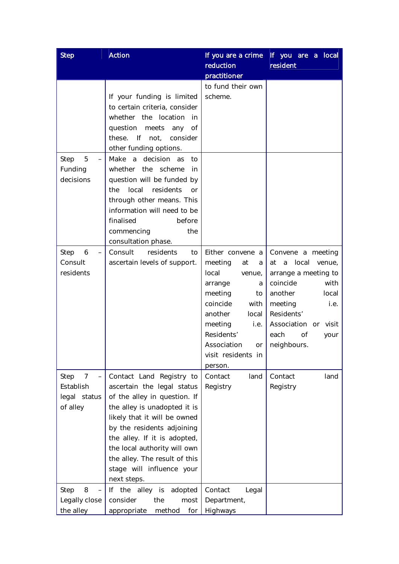| <b>Step</b>                                                   | <b>Action</b>                                                                                                                                                                                                                                                                                                                     | If you are a crime<br>reduction<br>practitioner                                                                                                                                                                           | If you are a local<br>resident                                                                                                                                                                                |
|---------------------------------------------------------------|-----------------------------------------------------------------------------------------------------------------------------------------------------------------------------------------------------------------------------------------------------------------------------------------------------------------------------------|---------------------------------------------------------------------------------------------------------------------------------------------------------------------------------------------------------------------------|---------------------------------------------------------------------------------------------------------------------------------------------------------------------------------------------------------------|
|                                                               | If your funding is limited<br>to certain criteria, consider<br>whether the location<br>in<br>question meets any<br>of<br>these. If not,<br>consider<br>other funding options.                                                                                                                                                     | to fund their own<br>scheme.                                                                                                                                                                                              |                                                                                                                                                                                                               |
| 5<br>Step<br>$\overline{\phantom{0}}$<br>Funding<br>decisions | Make a decision as<br>to<br>whether<br>the<br>scheme<br>in<br>question will be funded by<br>local<br>residents<br>the<br><b>or</b><br>through other means. This<br>information will need to be<br>finalised<br>before<br>commencing<br>the<br>consultation phase.                                                                 |                                                                                                                                                                                                                           |                                                                                                                                                                                                               |
| Step<br>6<br>Consult<br>residents                             | Consult<br>residents<br>to<br>ascertain levels of support.                                                                                                                                                                                                                                                                        | Either convene a<br>meeting<br>at<br>a<br>local<br>venue,<br>arrange<br>a<br>meeting<br>to<br>coincide<br>with<br>another<br>local<br>meeting<br>i.e.<br>Residents'<br>Association<br>or<br>visit residents in<br>person. | Convene a meeting<br>local<br>a<br>venue,<br>at<br>arrange a meeting to<br>coincide<br>with<br>another<br>local<br>meeting<br>i.e.<br>Residents'<br>Association or visit<br>each<br>Οf<br>your<br>neighbours. |
| Step<br>7<br>Establish<br>legal status<br>of alley            | Contact Land Registry to<br>ascertain the legal status<br>of the alley in question. If<br>the alley is unadopted it is<br>likely that it will be owned<br>by the residents adjoining<br>the alley. If it is adopted,<br>the local authority will own<br>the alley. The result of this<br>stage will influence your<br>next steps. | Contact<br>land<br>Registry                                                                                                                                                                                               | Contact<br>land<br>Registry                                                                                                                                                                                   |
| Step<br>8<br>Legally close<br>the alley                       | the alley is<br>adopted<br>If.<br>consider<br>the<br>most<br>appropriate<br>method<br>for                                                                                                                                                                                                                                         | Contact<br>Legal<br>Department,<br>Highways                                                                                                                                                                               |                                                                                                                                                                                                               |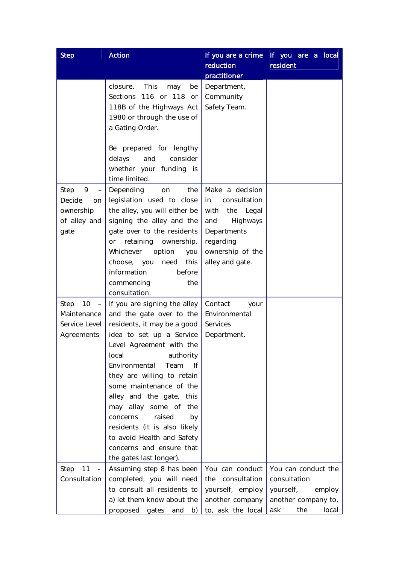| <b>Step</b>                                                      | <b>Action</b>                                                                                                                                                                                                                                                                                                                                                                                                                                                        | If you are a crime<br>reduction<br>practitioner                                                                                                  | If you are a local<br>resident                                                                           |
|------------------------------------------------------------------|----------------------------------------------------------------------------------------------------------------------------------------------------------------------------------------------------------------------------------------------------------------------------------------------------------------------------------------------------------------------------------------------------------------------------------------------------------------------|--------------------------------------------------------------------------------------------------------------------------------------------------|----------------------------------------------------------------------------------------------------------|
|                                                                  | This<br>closure.<br>be<br>may<br>Sections 116 or 118 or<br>118B of the Highways Act<br>1980 or through the use of<br>a Gating Order.<br>Be prepared for lengthy<br>consider<br>delays<br>and<br>whether your funding is                                                                                                                                                                                                                                              | Department,<br>Community<br>Safety Team.                                                                                                         |                                                                                                          |
| Step<br>9<br>Decide<br>on<br>ownership<br>of alley and<br>gate   | time limited.<br>the<br>Depending<br>on<br>legislation used to close<br>the alley, you will either be<br>signing the alley and the<br>gate over to the residents<br>retaining ownership.<br>or<br>Whichever option<br>you<br>choose, you<br>this<br>need<br>information<br>before<br>commencing<br>the<br>consultation.                                                                                                                                              | Make a decision<br>in<br>consultation<br>with<br>the Legal<br>Highways<br>and<br>Departments<br>regarding<br>ownership of the<br>alley and gate. |                                                                                                          |
| Step<br>10<br>$-1$<br>Maintenance<br>Service Level<br>Agreements | If you are signing the alley<br>and the gate over to the<br>residents, it may be a good<br>idea to set up a Service<br>Level Agreement with the<br>authority<br>local<br>Environmental<br>Team<br>lf.<br>they are willing to retain<br>some maintenance of the<br>alley and the gate, this<br>may allay some of the<br>raised<br>concerns<br>by<br>residents (it is also likely<br>to avoid Health and Safety<br>concerns and ensure that<br>the gates last longer). | Contact<br>your<br>Environmental<br>Services<br>Department.                                                                                      |                                                                                                          |
| 11<br>Step<br>$\overline{\phantom{a}}$<br>Consultation           | Assuming step 8 has been<br>completed, you will need<br>to consult all residents to<br>a) let them know about the<br>proposed gates<br>and<br>b)                                                                                                                                                                                                                                                                                                                     | You can conduct<br>consultation<br>the<br>yourself, employ<br>another company<br>to, ask the local                                               | You can conduct the<br>consultation<br>yourself,<br>employ<br>another company to,<br>the<br>ask<br>local |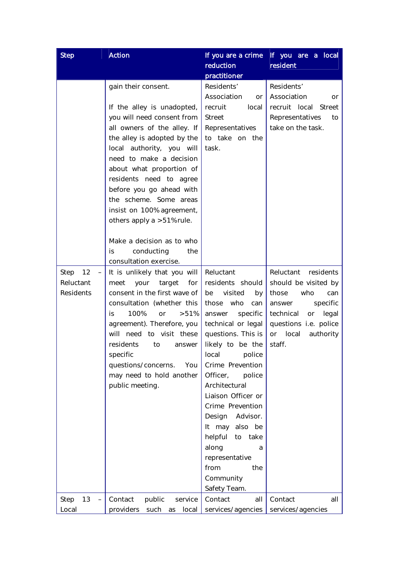| <b>Step</b>                                | <b>Action</b>                                                                                                                                                                                                                                                                                                                                                                                             | If you are a crime<br>reduction                                                                                                                                                                                                                                                                                                                                                                                                       | If you are a local<br>resident                                                                                                                                                                    |
|--------------------------------------------|-----------------------------------------------------------------------------------------------------------------------------------------------------------------------------------------------------------------------------------------------------------------------------------------------------------------------------------------------------------------------------------------------------------|---------------------------------------------------------------------------------------------------------------------------------------------------------------------------------------------------------------------------------------------------------------------------------------------------------------------------------------------------------------------------------------------------------------------------------------|---------------------------------------------------------------------------------------------------------------------------------------------------------------------------------------------------|
|                                            |                                                                                                                                                                                                                                                                                                                                                                                                           | practitioner                                                                                                                                                                                                                                                                                                                                                                                                                          |                                                                                                                                                                                                   |
|                                            | gain their consent.<br>If the alley is unadopted,<br>you will need consent from<br>all owners of the alley. If<br>the alley is adopted by the<br>local authority, you will<br>need to make a decision<br>about what proportion of<br>residents need to agree<br>before you go ahead with<br>the scheme. Some areas<br>insist on 100% agreement,<br>others apply a >51% rule.<br>Make a decision as to who | Residents'<br>Association<br>or<br>recruit<br>local<br><b>Street</b><br>Representatives<br>to take on the<br>task.                                                                                                                                                                                                                                                                                                                    | Residents'<br>Association<br>or<br>recruit local Street<br>Representatives<br>to<br>take on the task.                                                                                             |
|                                            | is<br>conducting<br>the<br>consultation exercise.                                                                                                                                                                                                                                                                                                                                                         |                                                                                                                                                                                                                                                                                                                                                                                                                                       |                                                                                                                                                                                                   |
| Step<br>12<br>Reluctant<br>Residents<br>13 | It is unlikely that you will<br>for<br>meet<br>your<br>target<br>consent in the first wave of<br>consultation (whether this<br>100%<br>>51%<br>is<br>or<br>agreement). Therefore, you<br>will<br>need to visit these<br>residents<br>to<br>answer<br>specific<br>questions/concerns.<br>You<br>may need to hold another<br>public meeting.<br>Contact                                                     | Reluctant<br>residents should<br>visited<br>be<br>by<br>those who<br>can<br>specific<br>answer<br>technical or legal<br>questions. This is<br>likely to be the<br>local<br>police<br>Crime Prevention<br>Officer,<br>police<br>Architectural<br>Liaison Officer or<br>Crime Prevention<br>Design Advisor.<br>It may also be<br>helpful to take<br>along<br>a<br>representative<br>from<br>the<br>Community<br>Safety Team.<br>Contact | Reluctant<br>residents<br>should be visited by<br>those<br>who<br>can<br>specific<br>answer<br>technical<br>legal<br>or<br>questions i.e. police<br>local<br>authority<br>or<br>staff.<br>Contact |
| Step<br>Local                              | public<br>service<br>providers<br>such as<br>local                                                                                                                                                                                                                                                                                                                                                        | all<br>services/agencies                                                                                                                                                                                                                                                                                                                                                                                                              | all<br>services/agencies                                                                                                                                                                          |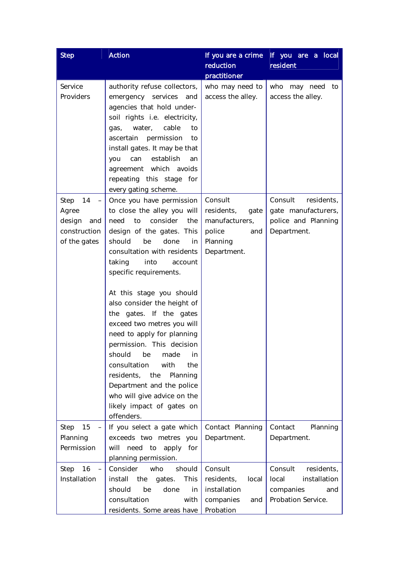| <b>Step</b>                                                                                      | <b>Action</b>                                                                                                                                                                                                                                                                                                                                                                                                                                                                                                                                                                                                              | If you are a crime<br>reduction<br>practitioner                                             | If you are a local<br>resident                                                           |
|--------------------------------------------------------------------------------------------------|----------------------------------------------------------------------------------------------------------------------------------------------------------------------------------------------------------------------------------------------------------------------------------------------------------------------------------------------------------------------------------------------------------------------------------------------------------------------------------------------------------------------------------------------------------------------------------------------------------------------------|---------------------------------------------------------------------------------------------|------------------------------------------------------------------------------------------|
| Service<br>Providers                                                                             | authority refuse collectors,<br>emergency services<br>and<br>agencies that hold under-<br>soil rights i.e. electricity,<br>cable<br>water,<br>to<br>gas,<br>permission<br>ascertain<br>to<br>install gates. It may be that<br>establish<br>can<br>you<br>an<br>agreement which avoids<br>repeating this stage for<br>every gating scheme.                                                                                                                                                                                                                                                                                  | who may need to<br>access the alley.                                                        | who may need<br>to<br>access the alley.                                                  |
| Step<br>14<br>$\overline{\phantom{0}}$<br>Agree<br>design<br>and<br>construction<br>of the gates | Once you have permission<br>to close the alley you will<br>consider<br>need<br>to<br>the<br>design of the gates. This<br>should<br>be<br>done<br>in<br>consultation with residents<br>into<br>taking<br>account<br>specific requirements.<br>At this stage you should<br>also consider the height of<br>the gates. If the gates<br>exceed two metres you will<br>need to apply for planning<br>permission. This decision<br>should<br>be<br>made<br>in<br>with<br>consultation<br>the<br>residents, the<br>Planning<br>Department and the police<br>who will give advice on the<br>likely impact of gates on<br>offenders. | Consult<br>residents,<br>gate<br>manufacturers,<br>police<br>and<br>Planning<br>Department. | Consult<br>residents,<br>gate manufacturers,<br>police and Planning<br>Department.       |
| 15<br>Step<br>$-$<br>Planning<br>Permission                                                      | If you select a gate which<br>exceeds two metres you<br>will<br>need to apply for<br>planning permission.                                                                                                                                                                                                                                                                                                                                                                                                                                                                                                                  | Contact Planning<br>Department.                                                             | Contact<br>Planning<br>Department.                                                       |
| 16<br>Step<br>$\overline{\phantom{0}}$<br>Installation                                           | Consider<br>who<br>should<br>install<br>the<br>This<br>gates.<br>should<br>done<br>be<br>in<br>consultation<br>with<br>residents. Some areas have                                                                                                                                                                                                                                                                                                                                                                                                                                                                          | Consult<br>residents,<br>local<br>installation<br>companies<br>and<br>Probation             | Consult<br>residents,<br>installation<br>local<br>companies<br>and<br>Probation Service. |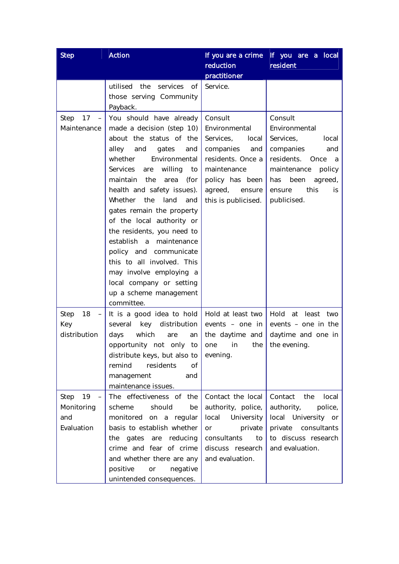| <b>Step</b>                                                               | <b>Action</b>                                                                                                                                                                                                                                                                                                                                                                                                                                                                                                                                                      | If you are a crime                                                                                                                                                    | If you are a local                                                                                                                                                                       |
|---------------------------------------------------------------------------|--------------------------------------------------------------------------------------------------------------------------------------------------------------------------------------------------------------------------------------------------------------------------------------------------------------------------------------------------------------------------------------------------------------------------------------------------------------------------------------------------------------------------------------------------------------------|-----------------------------------------------------------------------------------------------------------------------------------------------------------------------|------------------------------------------------------------------------------------------------------------------------------------------------------------------------------------------|
|                                                                           |                                                                                                                                                                                                                                                                                                                                                                                                                                                                                                                                                                    | reduction                                                                                                                                                             | resident                                                                                                                                                                                 |
|                                                                           | utilised the<br>services of<br>those serving Community<br>Payback.                                                                                                                                                                                                                                                                                                                                                                                                                                                                                                 | practitioner<br>Service.                                                                                                                                              |                                                                                                                                                                                          |
| 17<br>Step<br>$\qquad \qquad -$<br>Maintenance                            | You should have already<br>made a decision (step 10)<br>about the status of the<br>alley<br>and<br>gates<br>and<br>Environmental<br>whether<br><b>Services</b><br>willing<br>are<br>to<br>maintain the<br>(for<br>area<br>health and safety issues).<br>the<br>Whether<br>land<br>and<br>gates remain the property<br>of the local authority or<br>the residents, you need to<br>establish a<br>maintenance<br>policy and communicate<br>this to all involved. This<br>may involve employing a<br>local company or setting<br>up a scheme management<br>committee. | Consult<br>Environmental<br>Services,<br>local<br>companies<br>and<br>residents. Once a<br>maintenance<br>policy has been<br>agreed,<br>ensure<br>this is publicised. | Consult<br>Environmental<br>Services,<br>local<br>companies<br>and<br>residents.<br>Once<br>a<br>maintenance<br>policy<br>has<br>been<br>agreed,<br>this<br>ensure<br>is.<br>publicised. |
| 18<br>Step<br>$\overline{\phantom{a}}$<br>Key<br>distribution             | It is a good idea to hold<br>key<br>distribution<br>several<br>which<br>days<br>are<br>an<br>opportunity not only<br>to<br>distribute keys, but also to $\vert$ evening.<br>remind<br>residents<br>Οf<br>management<br>and<br>maintenance issues.                                                                                                                                                                                                                                                                                                                  | Hold at least two<br>events - one in<br>the daytime and<br>the<br>one<br>in                                                                                           | Hold at<br>least<br>two<br>events – one in the<br>daytime and one in<br>the evening.                                                                                                     |
| 19<br>Step<br>$\overline{\phantom{a}}$<br>Monitoring<br>and<br>Evaluation | The effectiveness of the<br>should<br>scheme<br>be<br>monitored on a regular<br>basis to establish whether<br>the gates are reducing<br>crime and fear of crime<br>and whether there are any<br>positive<br>negative<br>or<br>unintended consequences.                                                                                                                                                                                                                                                                                                             | Contact the local<br>authority, police,<br>local University<br>or<br>private<br>consultants<br>to<br>discuss research<br>and evaluation.                              | Contact<br>the<br>local<br>authority,<br>police,<br>local University or<br>private consultants<br>to discuss research<br>and evaluation.                                                 |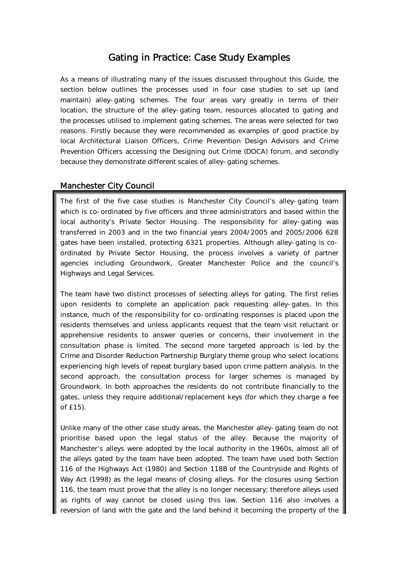# Gating in Practice: Case Study Examples

As a means of illustrating many of the issues discussed throughout this Guide, the section below outlines the processes used in four case studies to set up (and maintain) alley-gating schemes. The four areas vary greatly in terms of their location, the structure of the alley-gating team, resources allocated to gating and the processes utilised to implement gating schemes. The areas were selected for two reasons. Firstly because they were recommended as examples of good practice by local Architectural Liaison Officers, Crime Prevention Design Advisors and Crime Prevention Officers accessing the Designing out Crime (DOCA) forum, and secondly because they demonstrate different scales of alley-gating schemes.

# Manchester City Council

The first of the five case studies is Manchester City Council's alley-gating team which is co-ordinated by five officers and three administrators and based within the local authority's Private Sector Housing. The responsibility for alley-gating was transferred in 2003 and in the two financial years 2004/2005 and 2005/2006 628 gates have been installed, protecting 6321 properties. Although alley-gating is coordinated by Private Sector Housing, the process involves a variety of partner agencies including Groundwork, Greater Manchester Police and the council's Highways and Legal Services.

The team have two distinct processes of selecting alleys for gating. The first relies upon residents to complete an application pack requesting alley-gates. In this instance, much of the responsibility for co-ordinating responses is placed upon the residents themselves and unless applicants request that the team visit reluctant or apprehensive residents to answer queries or concerns, their involvement in the consultation phase is limited. The second more targeted approach is led by the Crime and Disorder Reduction Partnership Burglary theme group who select locations experiencing high levels of repeat burglary based upon crime pattern analysis. In the second approach, the consultation process for larger schemes is managed by Groundwork. In both approaches the residents do not contribute financially to the gates, unless they require additional/replacement keys (for which they charge a fee of £15).

Unlike many of the other case study areas, the Manchester alley-gating team do not prioritise based upon the legal status of the alley. Because the majority of Manchester's alleys were adopted by the local authority in the 1960s, almost all of the alleys gated by the team have been adopted. The team have used both Section 116 of the Highways Act (1980) and Section 118B of the Countryside and Rights of Way Act (1998) as the legal means of closing alleys. For the closures using Section 116, the team must prove that the alley is no longer necessary; therefore alleys used as rights of way cannot be closed using this law. Section 116 also involves a reversion of land with the gate and the land behind it becoming the property of the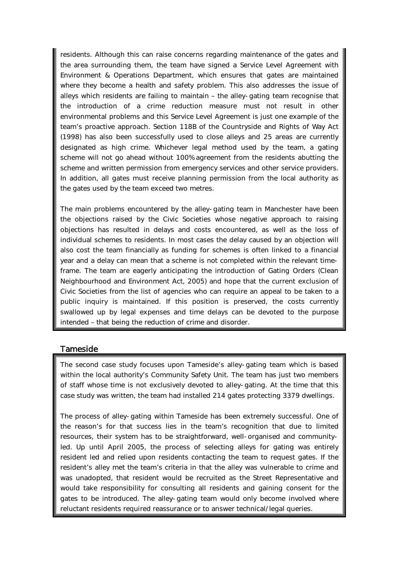residents. Although this can raise concerns regarding maintenance of the gates and the area surrounding them, the team have signed a Service Level Agreement with Environment & Operations Department, which ensures that gates are maintained where they become a health and safety problem. This also addresses the issue of alleys which residents are failing to maintain – the alley-gating team recognise that the introduction of a crime reduction measure must not result in other environmental problems and this Service Level Agreement is just one example of the team's proactive approach. Section 118B of the Countryside and Rights of Way Act (1998) has also been successfully used to close alleys and 25 areas are currently designated as high crime. Whichever legal method used by the team, a gating scheme will not go ahead without 100% agreement from the residents abutting the scheme and written permission from emergency services and other service providers. In addition, all gates must receive planning permission from the local authority as the gates used by the team exceed two metres.

The main problems encountered by the alley-gating team in Manchester have been the objections raised by the Civic Societies whose negative approach to raising objections has resulted in delays and costs encountered, as well as the loss of individual schemes to residents. In most cases the delay caused by an objection will also cost the team financially as funding for schemes is often linked to a financial year and a delay can mean that a scheme is not completed within the relevant timeframe. The team are eagerly anticipating the introduction of Gating Orders (Clean Neighbourhood and Environment Act, 2005) and hope that the current exclusion of Civic Societies from the list of agencies who can require an appeal to be taken to a public inquiry is maintained. If this position is preserved, the costs currently swallowed up by legal expenses and time delays can be devoted to the purpose intended – that being the reduction of crime and disorder.

## **Tameside**

The second case study focuses upon Tameside's alley-gating team which is based within the local authority's Community Safety Unit. The team has just two members of staff whose time is not exclusively devoted to alley-gating. At the time that this case study was written, the team had installed 214 gates protecting 3379 dwellings.

The process of alley-gating within Tameside has been extremely successful. One of the reason's for that success lies in the team's recognition that due to limited resources, their system has to be straightforward, well-organised and communityled. Up until April 2005, the process of selecting alleys for gating was entirely resident led and relied upon residents contacting the team to request gates. If the resident's alley met the team's criteria in that the alley was vulnerable to crime and was unadopted, that resident would be recruited as the Street Representative and would take responsibility for consulting all residents and gaining consent for the gates to be introduced. The alley-gating team would only become involved where reluctant residents required reassurance or to answer technical/legal queries.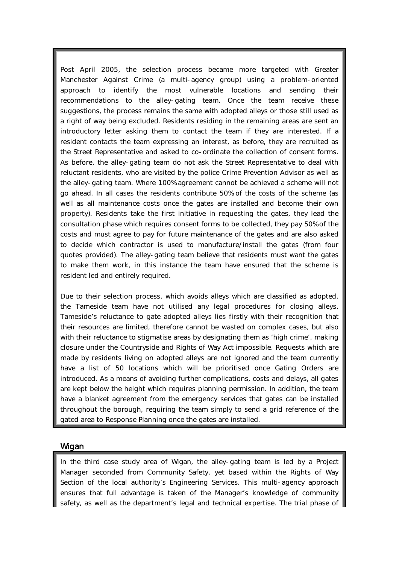Post April 2005, the selection process became more targeted with Greater Manchester Against Crime (a multi-agency group) using a problem-oriented approach to identify the most vulnerable locations and sending their recommendations to the alley-gating team. Once the team receive these suggestions, the process remains the same with adopted alleys or those still used as a right of way being excluded. Residents residing in the remaining areas are sent an introductory letter asking them to contact the team if they are interested. If a resident contacts the team expressing an interest, as before, they are recruited as the Street Representative and asked to co-ordinate the collection of consent forms. As before, the alley-gating team do not ask the Street Representative to deal with reluctant residents, who are visited by the police Crime Prevention Advisor as well as the alley-gating team. Where 100% agreement cannot be achieved a scheme will not go ahead. In all cases the residents contribute 50% of the costs of the scheme (as well as all maintenance costs once the gates are installed and become their own property). Residents take the first initiative in requesting the gates, they lead the consultation phase which requires consent forms to be collected, they pay 50% of the costs and must agree to pay for future maintenance of the gates and are also asked to decide which contractor is used to manufacture/install the gates (from four quotes provided). The alley-gating team believe that residents must want the gates to make them work, in this instance the team have ensured that the scheme is resident led and entirely required.

Due to their selection process, which avoids alleys which are classified as adopted, the Tameside team have not utilised any legal procedures for closing alleys. Tameside's reluctance to gate adopted alleys lies firstly with their recognition that their resources are limited, therefore cannot be wasted on complex cases, but also with their reluctance to stigmatise areas by designating them as 'high crime', making closure under the Countryside and Rights of Way Act impossible. Requests which are made by residents living on adopted alleys are not ignored and the team currently have a list of 50 locations which will be prioritised once Gating Orders are introduced. As a means of avoiding further complications, costs and delays, all gates are kept below the height which requires planning permission. In addition, the team have a blanket agreement from the emergency services that gates can be installed throughout the borough, requiring the team simply to send a grid reference of the gated area to Response Planning once the gates are installed.

## Wigan

In the third case study area of Wigan, the alley-gating team is led by a Project Manager seconded from Community Safety, yet based within the Rights of Way Section of the local authority's Engineering Services. This multi-agency approach ensures that full advantage is taken of the Manager's knowledge of community safety, as well as the department's legal and technical expertise. The trial phase of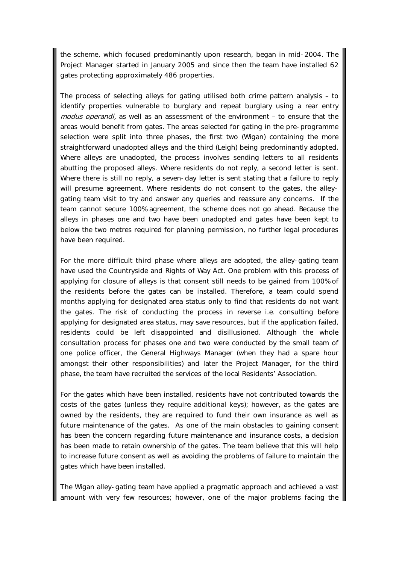the scheme, which focused predominantly upon research, began in mid-2004. The Project Manager started in January 2005 and since then the team have installed 62 gates protecting approximately 486 properties.

The process of selecting alleys for gating utilised both crime pattern analysis – to identify properties vulnerable to burglary and repeat burglary using a rear entry modus operandi, as well as an assessment of the environment - to ensure that the areas would benefit from gates. The areas selected for gating in the pre-programme selection were split into three phases, the first two (Wigan) containing the more straightforward unadopted alleys and the third (Leigh) being predominantly adopted. Where alleys are unadopted, the process involves sending letters to all residents abutting the proposed alleys. Where residents do not reply, a second letter is sent. Where there is still no reply, a seven-day letter is sent stating that a failure to reply will presume agreement. Where residents do not consent to the gates, the alleygating team visit to try and answer any queries and reassure any concerns. If the team cannot secure 100% agreement, the scheme does not go ahead. Because the alleys in phases one and two have been unadopted and gates have been kept to below the two metres required for planning permission, no further legal procedures have been required.

For the more difficult third phase where alleys are adopted, the alley-gating team have used the Countryside and Rights of Way Act. One problem with this process of applying for closure of alleys is that consent still needs to be gained from 100% of the residents before the gates can be installed. Therefore, a team could spend months applying for designated area status only to find that residents do not want the gates. The risk of conducting the process in reverse i.e. consulting before applying for designated area status, may save resources, but if the application failed, residents could be left disappointed and disillusioned. Although the whole consultation process for phases one and two were conducted by the small team of one police officer, the General Highways Manager (when they had a spare hour amongst their other responsibilities) and later the Project Manager, for the third phase, the team have recruited the services of the local Residents' Association.

For the gates which have been installed, residents have not contributed towards the costs of the gates (unless they require additional keys); however, as the gates are owned by the residents, they are required to fund their own insurance as well as future maintenance of the gates. As one of the main obstacles to gaining consent has been the concern regarding future maintenance and insurance costs, a decision has been made to retain ownership of the gates. The team believe that this will help to increase future consent as well as avoiding the problems of failure to maintain the gates which have been installed.

The Wigan alley-gating team have applied a pragmatic approach and achieved a vast amount with very few resources; however, one of the major problems facing the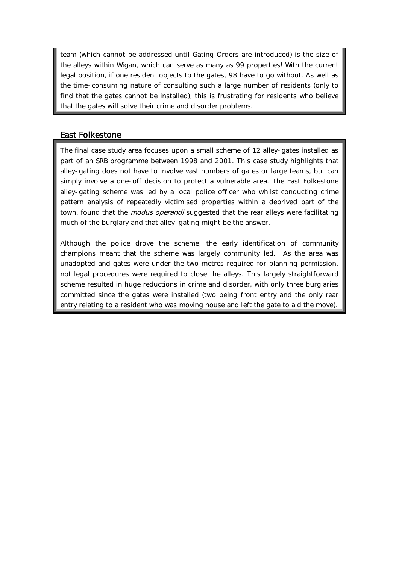team (which cannot be addressed until Gating Orders are introduced) is the size of the alleys within Wigan, which can serve as many as 99 properties! With the current legal position, if one resident objects to the gates, 98 have to go without. As well as the time-consuming nature of consulting such a large number of residents (only to find that the gates cannot be installed), this is frustrating for residents who believe that the gates will solve their crime and disorder problems.

# East Folkestone

The final case study area focuses upon a small scheme of 12 alley-gates installed as part of an SRB programme between 1998 and 2001. This case study highlights that alley-gating does not have to involve vast numbers of gates or large teams, but can simply involve a one-off decision to protect a vulnerable area. The East Folkestone alley-gating scheme was led by a local police officer who whilst conducting crime pattern analysis of repeatedly victimised properties within a deprived part of the town, found that the *modus operandi* suggested that the rear alleys were facilitating much of the burglary and that alley-gating might be the answer.

Although the police drove the scheme, the early identification of community champions meant that the scheme was largely community led. As the area was unadopted and gates were under the two metres required for planning permission, not legal procedures were required to close the alleys. This largely straightforward scheme resulted in huge reductions in crime and disorder, with only three burglaries committed since the gates were installed (two being front entry and the only rear entry relating to a resident who was moving house and left the gate to aid the move).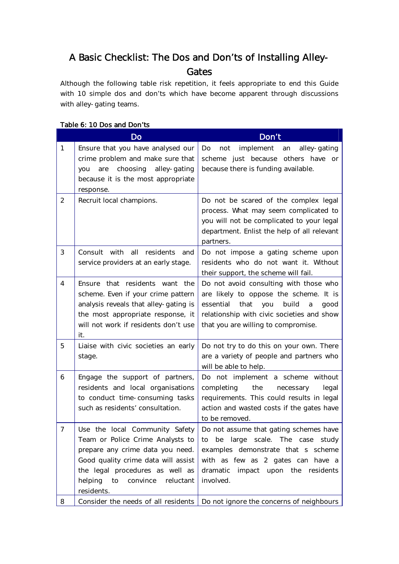# A Basic Checklist: The Dos and Don'ts of Installing Alley-**Gates**

Although the following table risk repetition, it feels appropriate to end this Guide with 10 simple dos and don'ts which have become apparent through discussions with alley-gating teams.

|                | Do                                                                                                                                                                                                                                       | Don't                                                                                                                                                                                                                   |
|----------------|------------------------------------------------------------------------------------------------------------------------------------------------------------------------------------------------------------------------------------------|-------------------------------------------------------------------------------------------------------------------------------------------------------------------------------------------------------------------------|
| $\mathbf{1}$   | Ensure that you have analysed our<br>crime problem and make sure that<br>are choosing alley-gating<br>you<br>because it is the most appropriate<br>response.                                                                             | implement<br>alley-gating<br>Do<br>not<br>an<br>scheme just because others have or<br>because there is funding available.                                                                                               |
| 2              | Recruit local champions.                                                                                                                                                                                                                 | Do not be scared of the complex legal<br>process. What may seem complicated to<br>you will not be complicated to your legal<br>department. Enlist the help of all relevant<br>partners.                                 |
| 3              | Consult with all residents<br>and<br>service providers at an early stage.                                                                                                                                                                | Do not impose a gating scheme upon<br>residents who do not want it. Without<br>their support, the scheme will fail.                                                                                                     |
| 4              | Ensure that residents want the<br>scheme. Even if your crime pattern<br>analysis reveals that alley-gating is<br>the most appropriate response, it<br>will not work if residents don't use<br>it.                                        | Do not avoid consulting with those who<br>are likely to oppose the scheme. It is<br>essential<br>that<br>build<br>you<br>a<br>good<br>relationship with civic societies and show<br>that you are willing to compromise. |
| 5              | Liaise with civic societies an early<br>stage.                                                                                                                                                                                           | Do not try to do this on your own. There<br>are a variety of people and partners who<br>will be able to help.                                                                                                           |
| 6              | Engage the support of partners,<br>residents and local organisations<br>to conduct time-consuming tasks<br>such as residents' consultation.                                                                                              | Do not implement a scheme without<br>the<br>completing<br>necessary<br>legal<br>requirements. This could results in legal<br>action and wasted costs if the gates have<br>to be removed.                                |
| $\overline{7}$ | Use the local Community Safety<br>Team or Police Crime Analysts to<br>prepare any crime data you need.<br>Good quality crime data will assist<br>the legal procedures as well as<br>helping<br>convince<br>reluctant<br>to<br>residents. | Do not assume that gating schemes have<br>be large scale. The case<br>study<br>to<br>examples demonstrate that s scheme<br>with as few as 2 gates can have a<br>dramatic impact upon the residents<br>involved.         |
| 8              | Consider the needs of all residents                                                                                                                                                                                                      | Do not ignore the concerns of neighbours                                                                                                                                                                                |

#### Table 6: 10 Dos and Don'ts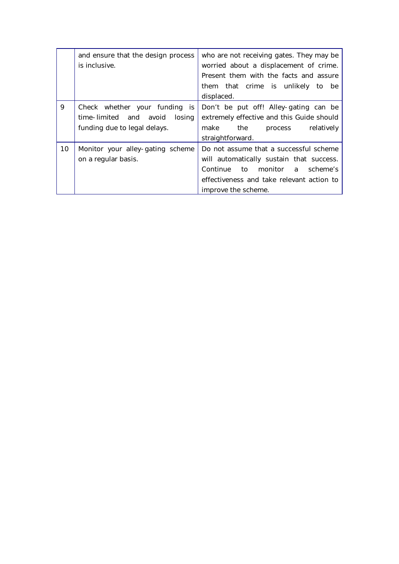|    | and ensure that the design process<br>is inclusive.                                            | who are not receiving gates. They may be<br>worried about a displacement of crime.<br>Present them with the facts and assure<br>them that crime is unlikely to be<br>displaced.          |
|----|------------------------------------------------------------------------------------------------|------------------------------------------------------------------------------------------------------------------------------------------------------------------------------------------|
| 9  | Check whether your funding is<br>time-limited and avoid losing<br>funding due to legal delays. | Don't be put off! Alley-gating can be<br>extremely effective and this Guide should<br>make the process<br>relatively<br>straightforward.                                                 |
| 10 | Monitor your alley-gating scheme<br>on a regular basis.                                        | Do not assume that a successful scheme<br>will automatically sustain that success.<br>Continue to monitor a scheme's<br>effectiveness and take relevant action to<br>improve the scheme. |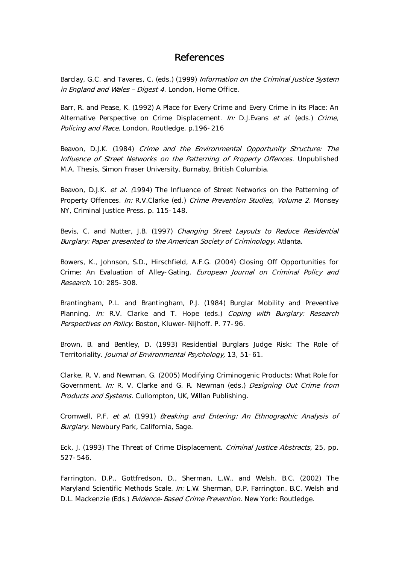# References

Barclay, G.C. and Tavares, C. (eds.) (1999) Information on the Criminal Justice System in England and Wales - Digest 4. London, Home Office.

Barr, R. and Pease, K. (1992) A Place for Every Crime and Every Crime in its Place: An Alternative Perspective on Crime Displacement. In: D.J.Evans et al. (eds.) Crime, Policing and Place. London, Routledge. p.196-216

Beavon, D.J.K. (1984) Crime and the Environmental Opportunity Structure: The Influence of Street Networks on the Patterning of Property Offences. Unpublished M.A. Thesis, Simon Fraser University, Burnaby, British Columbia.

Beavon, D.J.K. et al. (1994) The Influence of Street Networks on the Patterning of Property Offences. In: R.V.Clarke (ed.) Crime Prevention Studies, Volume 2. Monsey NY, Criminal Justice Press. p. 115-148.

Bevis, C. and Nutter, J.B. (1997) Changing Street Layouts to Reduce Residential Burglary: Paper presented to the American Society of Criminology. Atlanta.

Bowers, K., Johnson, S.D., Hirschfield, A.F.G. (2004) Closing Off Opportunities for Crime: An Evaluation of Alley-Gating. European Journal on Criminal Policy and Research. 10: 285-308.

Brantingham, P.L. and Brantingham, P.J. (1984) Burglar Mobility and Preventive Planning. In: R.V. Clarke and T. Hope (eds.) Coping with Burglary: Research Perspectives on Policy. Boston, Kluwer-Nijhoff. P. 77-96.

Brown, B. and Bentley, D. (1993) Residential Burglars Judge Risk: The Role of Territoriality. Journal of Environmental Psychology, 13, 51-61.

Clarke, R. V. and Newman, G. (2005) Modifying Criminogenic Products: What Role for Government. In: R. V. Clarke and G. R. Newman (eds.) Designing Out Crime from Products and Systems. Cullompton, UK, Willan Publishing.

Cromwell, P.F. et al. (1991) Breaking and Entering: An Ethnographic Analysis of Burglary. Newbury Park, California, Sage.

Eck, J. (1993) The Threat of Crime Displacement. Criminal Justice Abstracts, 25, pp. 527-546.

Farrington, D.P., Gottfredson, D., Sherman, L.W., and Welsh. B.C. (2002) The Maryland Scientific Methods Scale. In: L.W. Sherman, D.P. Farrington. B.C. Welsh and D.L. Mackenzie (Eds.) Evidence-Based Crime Prevention. New York: Routledge.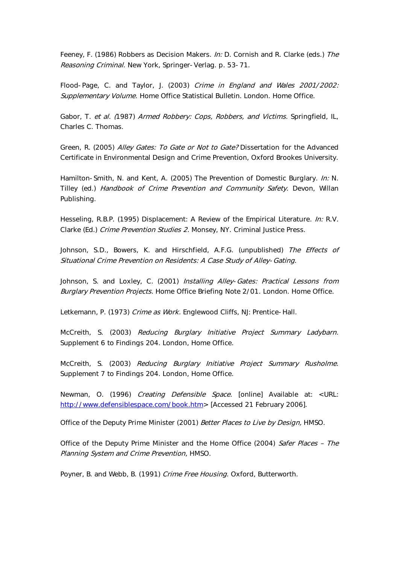Feeney, F. (1986) Robbers as Decision Makers. In: D. Cornish and R. Clarke (eds.) The Reasoning Criminal. New York, Springer-Verlag. p. 53-71.

Flood-Page, C. and Taylor, J. (2003) Crime in England and Wales 2001/2002: Supplementary Volume. Home Office Statistical Bulletin. London. Home Office.

Gabor, T. et al. (1987) Armed Robbery: Cops, Robbers, and Victims. Springfield, IL, Charles C. Thomas.

Green, R. (2005) Alley Gates: To Gate or Not to Gate? Dissertation for the Advanced Certificate in Environmental Design and Crime Prevention, Oxford Brookes University.

Hamilton-Smith, N. and Kent, A. (2005) The Prevention of Domestic Burglary. In: N. Tilley (ed.) Handbook of Crime Prevention and Community Safety. Devon, Willan Publishing.

Hesseling, R.B.P. (1995) Displacement: A Review of the Empirical Literature. In: R.V. Clarke (Ed.) Crime Prevention Studies 2. Monsey, NY. Criminal Justice Press.

Johnson, S.D., Bowers, K. and Hirschfield, A.F.G. (unpublished) The Effects of Situational Crime Prevention on Residents: A Case Study of Alley-Gating.

Johnson, S. and Loxley, C. (2001) Installing Alley-Gates: Practical Lessons from Burglary Prevention Projects. Home Office Briefing Note 2/01. London. Home Office.

Letkemann, P. (1973) Crime as Work. Englewood Cliffs, NJ: Prentice-Hall.

McCreith, S. (2003) Reducing Burglary Initiative Project Summary Ladybarn. Supplement 6 to Findings 204. London, Home Office.

McCreith, S. (2003) Reducing Burglary Initiative Project Summary Rusholme. Supplement 7 to Findings 204. London, Home Office.

Newman, O. (1996) Creating Defensible Space. [online] Available at: <URL: http://www.defensiblespace.com/book.htm> [Accessed 21 February 2006].

Office of the Deputy Prime Minister (2001) Better Places to Live by Design, HMSO.

Office of the Deputy Prime Minister and the Home Office (2004) Safer Places – The Planning System and Crime Prevention, HMSO.

Poyner, B. and Webb, B. (1991) Crime Free Housing. Oxford, Butterworth.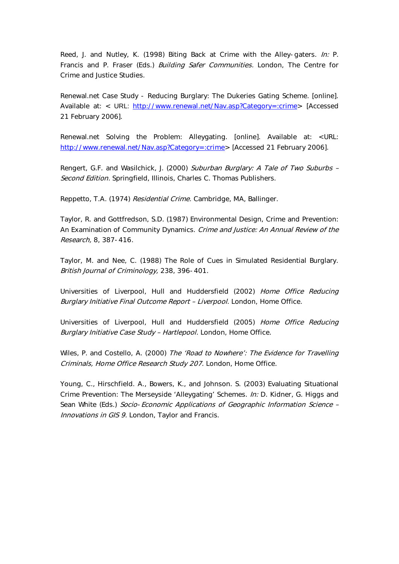Reed, J. and Nutley, K. (1998) Biting Back at Crime with the Alley-gaters. In: P. Francis and P. Fraser (Eds.) Building Safer Communities. London, The Centre for Crime and Justice Studies.

Renewal.net Case Study - Reducing Burglary: The Dukeries Gating Scheme. [online]. Available at: < URL: http://www.renewal.net/Nav.asp?Category=:crime> [Accessed] 21 February 2006].

Renewal.net Solving the Problem: Alleygating. [online]. Available at: <URL: http://www.renewal.net/Nav.asp?Category=:crime> [Accessed 21 February 2006].

Rengert, G.F. and Wasilchick, J. (2000) Suburban Burglary: A Tale of Two Suburbs -Second Edition. Springfield, Illinois, Charles C. Thomas Publishers.

Reppetto, T.A. (1974) Residential Crime. Cambridge, MA, Ballinger.

Taylor, R. and Gottfredson, S.D. (1987) Environmental Design, Crime and Prevention: An Examination of Community Dynamics. Crime and Justice: An Annual Review of the Research, 8, 387-416.

Taylor, M. and Nee, C. (1988) The Role of Cues in Simulated Residential Burglary. British Journal of Criminology, 238, 396-401.

Universities of Liverpool, Hull and Huddersfield (2002) Home Office Reducing Burglary Initiative Final Outcome Report - Liverpool. London, Home Office.

Universities of Liverpool, Hull and Huddersfield (2005) Home Office Reducing Burglary Initiative Case Study - Hartlepool. London, Home Office.

Wiles, P. and Costello, A. (2000) The 'Road to Nowhere': The Evidence for Travelling Criminals, Home Office Research Study 207. London, Home Office.

Young, C., Hirschfield. A., Bowers, K., and Johnson. S. (2003) Evaluating Situational Crime Prevention: The Merseyside 'Alleygating' Schemes. In: D. Kidner, G. Higgs and Sean White (Eds.) Socio-Economic Applications of Geographic Information Science -Innovations in GIS 9. London, Taylor and Francis.